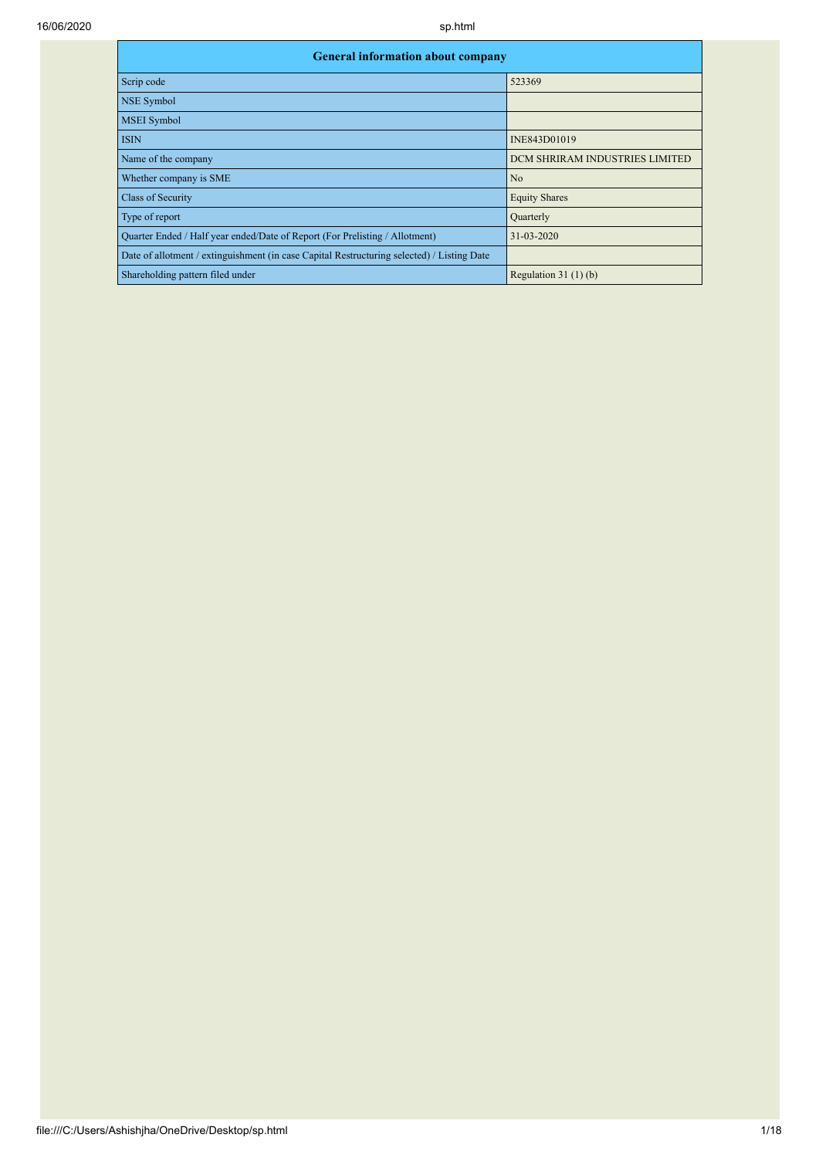| <b>General information about company</b>                                                   |                                |  |  |  |  |  |  |  |
|--------------------------------------------------------------------------------------------|--------------------------------|--|--|--|--|--|--|--|
| Scrip code                                                                                 | 523369                         |  |  |  |  |  |  |  |
| <b>NSE Symbol</b>                                                                          |                                |  |  |  |  |  |  |  |
| <b>MSEI</b> Symbol                                                                         |                                |  |  |  |  |  |  |  |
| <b>ISIN</b>                                                                                | INE843D01019                   |  |  |  |  |  |  |  |
| Name of the company                                                                        | DCM SHRIRAM INDUSTRIES LIMITED |  |  |  |  |  |  |  |
| Whether company is SME                                                                     | N <sub>o</sub>                 |  |  |  |  |  |  |  |
| Class of Security                                                                          | <b>Equity Shares</b>           |  |  |  |  |  |  |  |
| Type of report                                                                             | Quarterly                      |  |  |  |  |  |  |  |
| Quarter Ended / Half year ended/Date of Report (For Prelisting / Allotment)                | 31-03-2020                     |  |  |  |  |  |  |  |
| Date of allotment / extinguishment (in case Capital Restructuring selected) / Listing Date |                                |  |  |  |  |  |  |  |
| Shareholding pattern filed under                                                           | Regulation $31(1)(b)$          |  |  |  |  |  |  |  |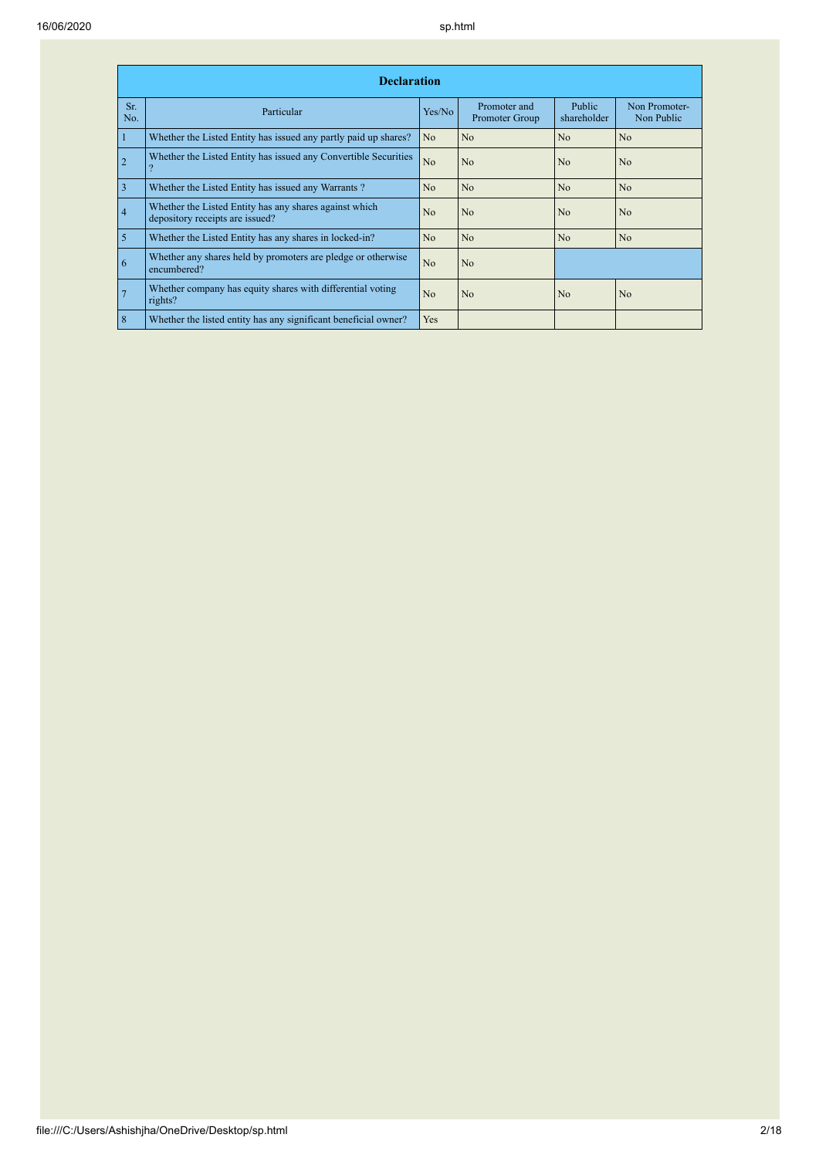|                | <b>Declaration</b>                                                                        |                |                                |                       |                             |
|----------------|-------------------------------------------------------------------------------------------|----------------|--------------------------------|-----------------------|-----------------------------|
| Sr.<br>No.     | Particular                                                                                | Yes/No         | Promoter and<br>Promoter Group | Public<br>shareholder | Non Promoter-<br>Non Public |
|                | Whether the Listed Entity has issued any partly paid up shares?                           | N <sub>o</sub> | N <sub>0</sub>                 | N <sub>o</sub>        | N <sub>o</sub>              |
| $\overline{2}$ | Whether the Listed Entity has issued any Convertible Securities                           | N <sub>o</sub> | No.                            | N <sub>0</sub>        | N <sub>o</sub>              |
| $\overline{3}$ | Whether the Listed Entity has issued any Warrants?                                        | N <sub>o</sub> | N <sub>o</sub>                 | N <sub>o</sub>        | N <sub>o</sub>              |
| $\overline{4}$ | Whether the Listed Entity has any shares against which<br>depository receipts are issued? | N <sub>o</sub> | No                             | N <sub>o</sub>        | N <sub>o</sub>              |
| $\overline{5}$ | Whether the Listed Entity has any shares in locked-in?                                    | N <sub>o</sub> | N <sub>o</sub>                 | N <sub>o</sub>        | N <sub>o</sub>              |
| $\overline{6}$ | Whether any shares held by promoters are pledge or otherwise<br>encumbered?               | N <sub>o</sub> | N <sub>o</sub>                 |                       |                             |
|                | Whether company has equity shares with differential voting<br>rights?                     | N <sub>o</sub> | No                             | N <sub>o</sub>        | N <sub>o</sub>              |
| 8              | Whether the listed entity has any significant beneficial owner?                           | Yes            |                                |                       |                             |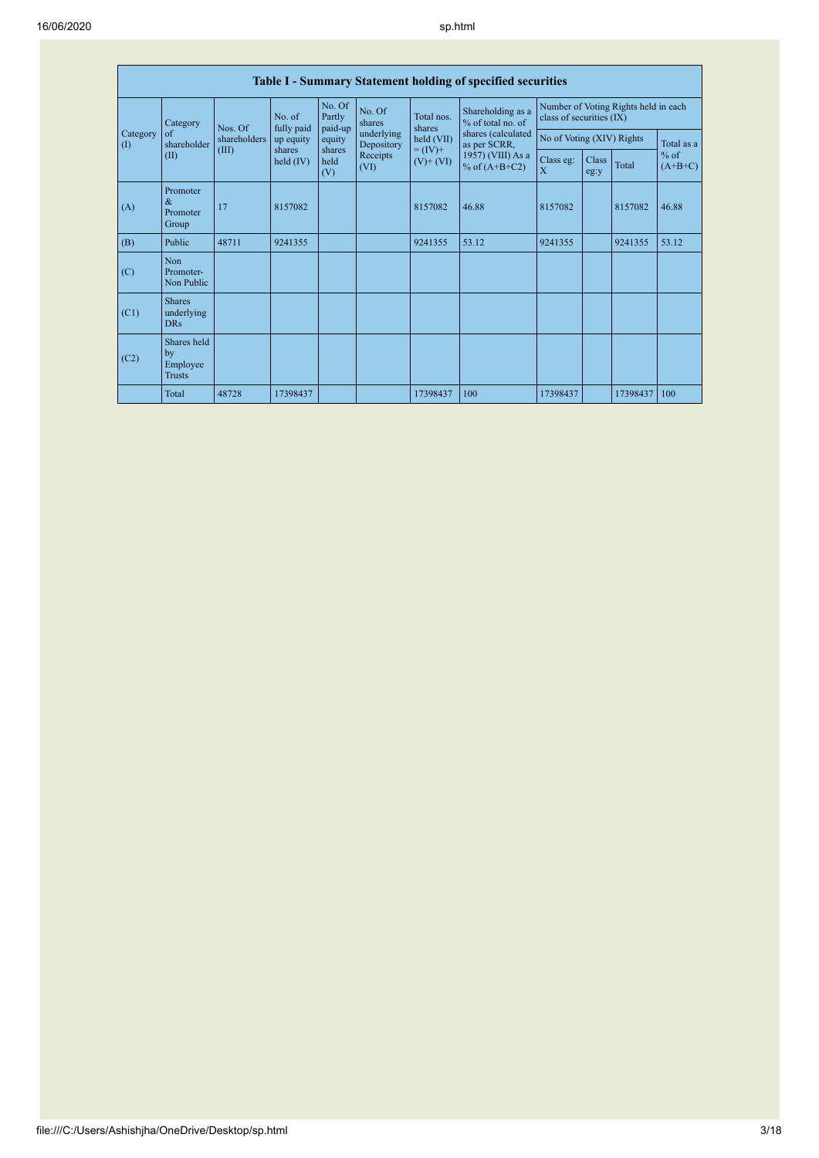|                 | Table I - Summary Statement holding of specified securities |         |                                                                   |                             |                          |                                                                   |                                                                            |                                                                  |               |          |                                   |
|-----------------|-------------------------------------------------------------|---------|-------------------------------------------------------------------|-----------------------------|--------------------------|-------------------------------------------------------------------|----------------------------------------------------------------------------|------------------------------------------------------------------|---------------|----------|-----------------------------------|
|                 | Category                                                    | Nos. Of | No. of<br>fully paid<br>up equity<br>shares<br>$\text{held (IV)}$ | No. Of<br>Partly<br>paid-up | No. Of<br>shares         | Total nos.<br>shares<br>held (VII)<br>$= (IV) +$<br>$(V)$ + $(V)$ | Shareholding as a<br>% of total no. of                                     | Number of Voting Rights held in each<br>class of securities (IX) |               |          |                                   |
| Category<br>(1) | of<br>shareholders<br>shareholder                           |         |                                                                   | equity                      | underlying<br>Depository |                                                                   | shares (calculated<br>as per SCRR,<br>1957) (VIII) As a<br>% of $(A+B+C2)$ | No of Voting (XIV) Rights                                        |               |          | Total as a<br>$%$ of<br>$(A+B+C)$ |
|                 | (II)                                                        | (III)   |                                                                   | shares<br>held<br>(V)       | Receipts<br>(VI)         |                                                                   |                                                                            | Class eg:<br>$\overline{X}$                                      | Class<br>eg:y | Total    |                                   |
| (A)             | Promoter<br>$\&$<br>Promoter<br>Group                       | 17      | 8157082                                                           |                             |                          | 8157082                                                           | 46.88                                                                      | 8157082                                                          |               | 8157082  | 46.88                             |
| (B)             | Public                                                      | 48711   | 9241355                                                           |                             |                          | 9241355                                                           | 53.12                                                                      | 9241355                                                          |               | 9241355  | 53.12                             |
| (C)             | Non<br>Promoter-<br>Non Public                              |         |                                                                   |                             |                          |                                                                   |                                                                            |                                                                  |               |          |                                   |
| (C1)            | <b>Shares</b><br>underlying<br><b>DRs</b>                   |         |                                                                   |                             |                          |                                                                   |                                                                            |                                                                  |               |          |                                   |
| (C2)            | Shares held<br>by<br>Employee<br><b>Trusts</b>              |         |                                                                   |                             |                          |                                                                   |                                                                            |                                                                  |               |          |                                   |
|                 | Total                                                       | 48728   | 17398437                                                          |                             |                          | 17398437                                                          | 100                                                                        | 17398437                                                         |               | 17398437 | 100                               |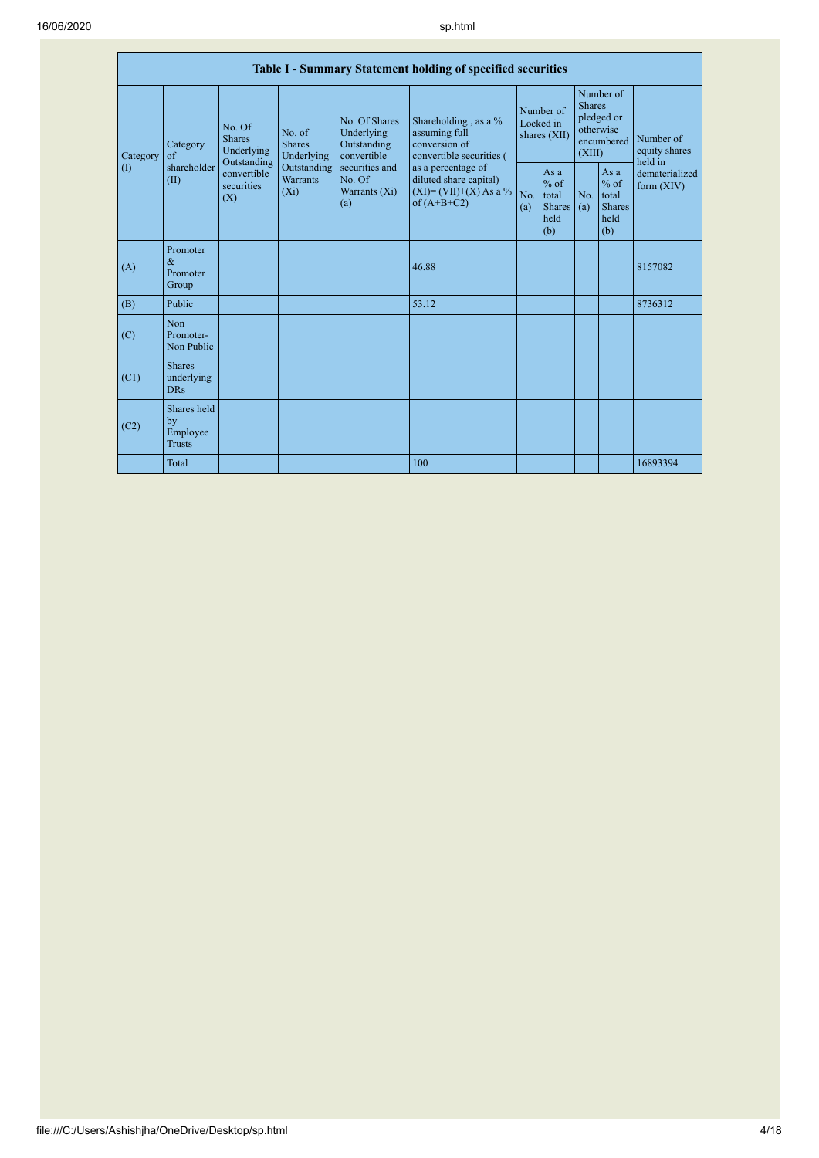|                 |                                                |                                       |                                                                                                                                                                                                                    |                                                                                          | Table I - Summary Statement holding of specified securities                        |                                                           |            |                                                                               |                                |                                       |
|-----------------|------------------------------------------------|---------------------------------------|--------------------------------------------------------------------------------------------------------------------------------------------------------------------------------------------------------------------|------------------------------------------------------------------------------------------|------------------------------------------------------------------------------------|-----------------------------------------------------------|------------|-------------------------------------------------------------------------------|--------------------------------|---------------------------------------|
| Category<br>(1) | Category<br>$\sigma$ f                         | No. Of<br><b>Shares</b><br>Underlying | No. Of Shares<br>Underlying<br>No. of<br>Outstanding<br><b>Shares</b><br>Underlying<br>convertible<br>Outstanding<br>Outstanding<br>securities and<br><b>Warrants</b><br>No. Of<br>$(X_i)$<br>Warrants (Xi)<br>(a) |                                                                                          | Shareholding, as a %<br>assuming full<br>conversion of<br>convertible securities ( | Number of<br>Locked in<br>shares (XII)                    |            | Number of<br><b>Shares</b><br>pledged or<br>otherwise<br>encumbered<br>(XIII) |                                | Number of<br>equity shares<br>held in |
|                 | shareholder<br>(II)                            | convertible<br>securities<br>(X)      |                                                                                                                                                                                                                    | as a percentage of<br>diluted share capital)<br>$(XI)=(VII)+(X)$ As a %<br>of $(A+B+C2)$ | No.<br>(a)                                                                         | As $a$<br>$%$ of<br>total<br><b>Shares</b><br>held<br>(b) | No.<br>(a) | As a<br>$%$ of<br>total<br><b>Shares</b><br>held<br>(b)                       | dematerialized<br>form $(XIV)$ |                                       |
| (A)             | Promoter<br>$\&$<br>Promoter<br>Group          |                                       |                                                                                                                                                                                                                    |                                                                                          | 46.88                                                                              |                                                           |            |                                                                               |                                | 8157082                               |
| (B)             | Public                                         |                                       |                                                                                                                                                                                                                    |                                                                                          | 53.12                                                                              |                                                           |            |                                                                               |                                | 8736312                               |
| (C)             | <b>Non</b><br>Promoter-<br>Non Public          |                                       |                                                                                                                                                                                                                    |                                                                                          |                                                                                    |                                                           |            |                                                                               |                                |                                       |
| (C1)            | <b>Shares</b><br>underlying<br><b>DRs</b>      |                                       |                                                                                                                                                                                                                    |                                                                                          |                                                                                    |                                                           |            |                                                                               |                                |                                       |
| (C2)            | Shares held<br>by<br>Employee<br><b>Trusts</b> |                                       |                                                                                                                                                                                                                    |                                                                                          |                                                                                    |                                                           |            |                                                                               |                                |                                       |
|                 | Total                                          |                                       |                                                                                                                                                                                                                    |                                                                                          | 100                                                                                |                                                           |            |                                                                               |                                | 16893394                              |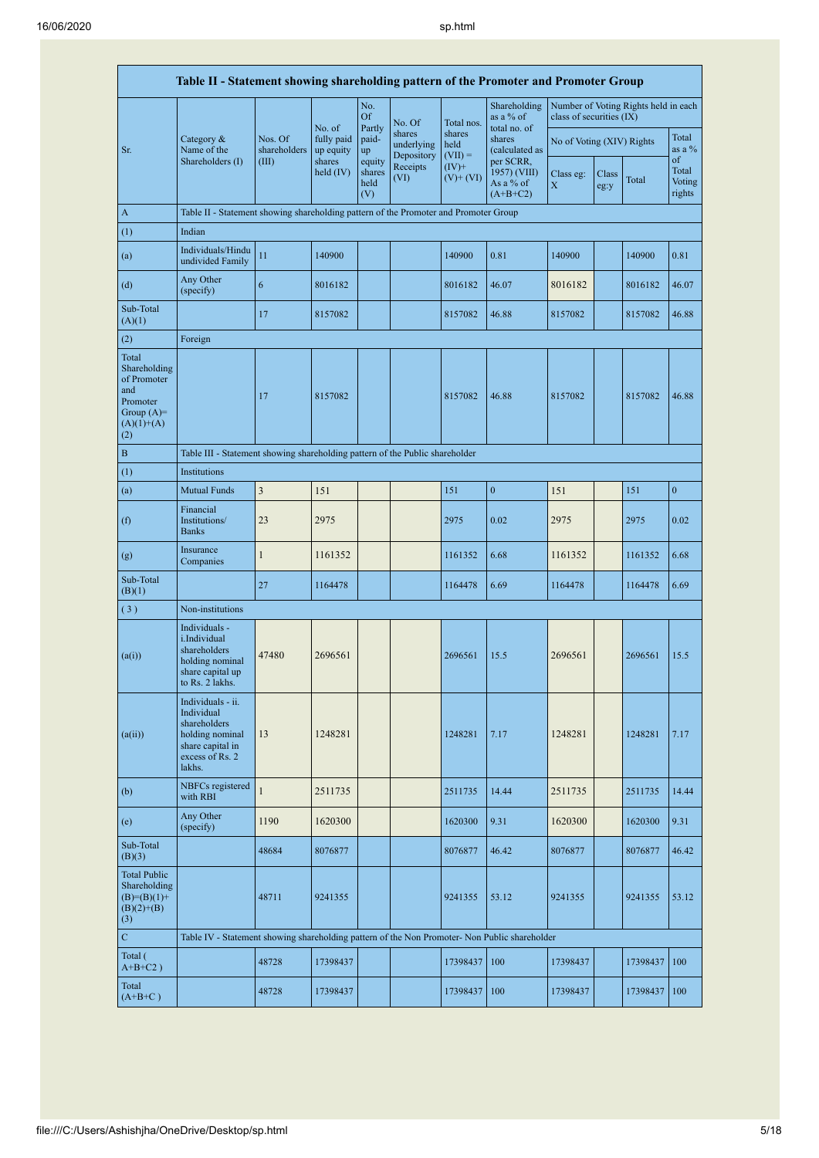|                                                                                                | Table II - Statement showing shareholding pattern of the Promoter and Promoter Group                                |                                                                              |                                   |                       |                                    |                             |                                           |                           |               |                                      |                           |
|------------------------------------------------------------------------------------------------|---------------------------------------------------------------------------------------------------------------------|------------------------------------------------------------------------------|-----------------------------------|-----------------------|------------------------------------|-----------------------------|-------------------------------------------|---------------------------|---------------|--------------------------------------|---------------------------|
|                                                                                                |                                                                                                                     |                                                                              | No. of                            | No.<br>Of<br>Partly   | No. Of                             | Total nos.                  | Shareholding<br>as a % of<br>total no. of | class of securities (IX)  |               | Number of Voting Rights held in each |                           |
| Sr.                                                                                            | Category &<br>Name of the<br>Shareholders (I)                                                                       | Nos. Of<br>shareholders<br>(III)                                             | fully paid<br>up equity<br>shares | paid-<br>up<br>equity | shares<br>underlying<br>Depository | shares<br>held<br>$(VII) =$ | shares<br>(calculated as<br>per SCRR,     | No of Voting (XIV) Rights |               |                                      | Total<br>as a $%$<br>of   |
|                                                                                                |                                                                                                                     |                                                                              | held $(IV)$                       | shares<br>held<br>(V) | Receipts<br>(VI)                   | $(IV)+$<br>$(V)$ + $(VI)$   | 1957) (VIII)<br>As a % of<br>$(A+B+C2)$   | Class eg:<br>$\mathbf X$  | Class<br>eg:y | Total                                | Total<br>Voting<br>rights |
| A                                                                                              | Table II - Statement showing shareholding pattern of the Promoter and Promoter Group                                |                                                                              |                                   |                       |                                    |                             |                                           |                           |               |                                      |                           |
| (1)                                                                                            | Indian                                                                                                              |                                                                              |                                   |                       |                                    |                             |                                           |                           |               |                                      |                           |
| (a)                                                                                            | Individuals/Hindu<br>undivided Family                                                                               | 11                                                                           | 140900                            |                       |                                    | 140900                      | 0.81                                      | 140900                    |               | 140900                               | 0.81                      |
| (d)                                                                                            | Any Other<br>(specify)                                                                                              | $\sqrt{6}$                                                                   | 8016182                           |                       |                                    | 8016182                     | 46.07                                     | 8016182                   |               | 8016182                              | 46.07                     |
| Sub-Total<br>(A)(1)                                                                            |                                                                                                                     | 17                                                                           | 8157082                           |                       |                                    | 8157082                     | 46.88                                     | 8157082                   |               | 8157082                              | 46.88                     |
| (2)                                                                                            | Foreign                                                                                                             |                                                                              |                                   |                       |                                    |                             |                                           |                           |               |                                      |                           |
| Total<br>Shareholding<br>of Promoter<br>and<br>Promoter<br>Group $(A)=$<br>$(A)(1)+(A)$<br>(2) |                                                                                                                     | 17                                                                           | 8157082                           |                       |                                    | 8157082                     | 46.88                                     | 8157082                   |               | 8157082                              | 46.88                     |
| B                                                                                              |                                                                                                                     | Table III - Statement showing shareholding pattern of the Public shareholder |                                   |                       |                                    |                             |                                           |                           |               |                                      |                           |
| (1)                                                                                            | Institutions                                                                                                        |                                                                              |                                   |                       |                                    |                             |                                           |                           |               |                                      |                           |
| (a)                                                                                            | <b>Mutual Funds</b>                                                                                                 | $\mathfrak{Z}$                                                               | 151                               |                       |                                    | 151                         | $\boldsymbol{0}$                          | 151                       |               | 151                                  | $\boldsymbol{0}$          |
| (f)                                                                                            | Financial<br>Institutions/<br><b>Banks</b>                                                                          | 23                                                                           | 2975                              |                       |                                    | 2975                        | 0.02                                      | 2975                      |               | 2975                                 | 0.02                      |
| (g)                                                                                            | Insurance<br>Companies                                                                                              | $\mathbf{1}$                                                                 | 1161352                           |                       |                                    | 1161352                     | 6.68                                      | 1161352                   |               | 1161352                              | 6.68                      |
| Sub-Total<br>(B)(1)                                                                            |                                                                                                                     | 27                                                                           | 1164478                           |                       |                                    | 1164478                     | 6.69                                      | 1164478                   |               | 1164478                              | 6.69                      |
| (3)                                                                                            | Non-institutions                                                                                                    |                                                                              |                                   |                       |                                    |                             |                                           |                           |               |                                      |                           |
| (a(i))                                                                                         | Individuals -<br><i>i.Individual</i><br>shareholders<br>holding nominal<br>share capital up<br>to Rs. 2 lakhs.      | 47480                                                                        | 2696561                           |                       |                                    | 2696561                     | 15.5                                      | 2696561                   |               | 2696561                              | 15.5                      |
| (a(ii))                                                                                        | Individuals - ii.<br>Individual<br>shareholders<br>holding nominal<br>share capital in<br>excess of Rs. 2<br>lakhs. | 13                                                                           | 1248281                           |                       |                                    | 1248281                     | 7.17                                      | 1248281                   |               | 1248281                              | 7.17                      |
| (b)                                                                                            | NBFCs registered<br>with RBI                                                                                        | $\mathbf{1}$                                                                 | 2511735                           |                       |                                    | 2511735                     | 14.44                                     | 2511735                   |               | 2511735                              | 14.44                     |
| (e)                                                                                            | Any Other<br>(specify)                                                                                              | 1190                                                                         | 1620300                           |                       |                                    | 1620300                     | 9.31                                      | 1620300                   |               | 1620300                              | 9.31                      |
| Sub-Total<br>(B)(3)                                                                            |                                                                                                                     | 48684                                                                        | 8076877                           |                       |                                    | 8076877                     | 46.42                                     | 8076877                   |               | 8076877                              | 46.42                     |
| <b>Total Public</b><br>Shareholding<br>$(B)=(B)(1)+$<br>$(B)(2)+(B)$<br>(3)                    |                                                                                                                     | 48711                                                                        | 9241355                           |                       |                                    | 9241355                     | 53.12                                     | 9241355                   |               | 9241355                              | 53.12                     |
| $\overline{C}$                                                                                 | Table IV - Statement showing shareholding pattern of the Non Promoter- Non Public shareholder                       |                                                                              |                                   |                       |                                    |                             |                                           |                           |               |                                      |                           |
| Total (<br>$A+B+C2$ )                                                                          |                                                                                                                     | 48728                                                                        | 17398437                          |                       |                                    | 17398437                    | 100                                       | 17398437                  |               | 17398437                             | 100                       |
| Total<br>$(A+B+C)$                                                                             |                                                                                                                     | 48728                                                                        | 17398437                          |                       |                                    | 17398437                    | 100                                       | 17398437                  |               | 17398437                             | 100                       |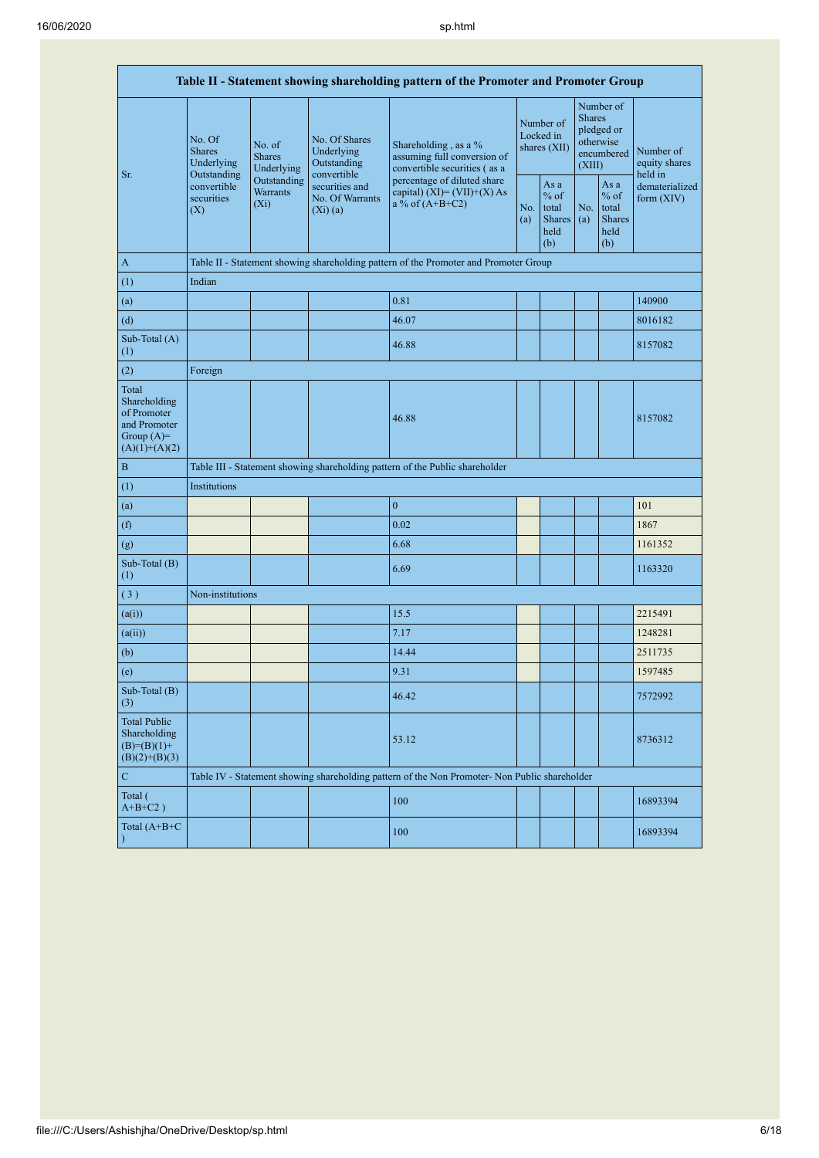|                                                                                         |                                                                               |                                       |                                                           | Table II - Statement showing shareholding pattern of the Promoter and Promoter Group          |            |                                                         |                                                                               |                                                         |                                       |  |
|-----------------------------------------------------------------------------------------|-------------------------------------------------------------------------------|---------------------------------------|-----------------------------------------------------------|-----------------------------------------------------------------------------------------------|------------|---------------------------------------------------------|-------------------------------------------------------------------------------|---------------------------------------------------------|---------------------------------------|--|
| Sr.                                                                                     | No. Of<br>Shares<br>Underlying<br>Outstanding                                 | No. of<br><b>Shares</b><br>Underlying | No. Of Shares<br>Underlying<br>Outstanding<br>convertible | Shareholding, as a %<br>assuming full conversion of<br>convertible securities (as a           |            | Number of<br>Locked in<br>shares $(XII)$                | Number of<br><b>Shares</b><br>pledged or<br>otherwise<br>encumbered<br>(XIII) |                                                         | Number of<br>equity shares<br>held in |  |
|                                                                                         | Outstanding<br>convertible<br><b>Warrants</b><br>securities<br>$(X_i)$<br>(X) |                                       | securities and<br>No. Of Warrants<br>$(Xi)$ (a)           | percentage of diluted share<br>capital) $(XI) = (VII)+(X) As$<br>a % of $(A+B+C2)$            | No.<br>(a) | As a<br>$%$ of<br>total<br><b>Shares</b><br>held<br>(b) | No.<br>(a)                                                                    | As a<br>$%$ of<br>total<br><b>Shares</b><br>held<br>(b) | dematerialized<br>form (XIV)          |  |
| $\mathbf{A}$                                                                            |                                                                               |                                       |                                                           | Table II - Statement showing shareholding pattern of the Promoter and Promoter Group          |            |                                                         |                                                                               |                                                         |                                       |  |
| (1)                                                                                     | Indian                                                                        |                                       |                                                           |                                                                                               |            |                                                         |                                                                               |                                                         |                                       |  |
| (a)                                                                                     |                                                                               |                                       |                                                           | 0.81                                                                                          |            |                                                         |                                                                               |                                                         | 140900                                |  |
| (d)                                                                                     |                                                                               |                                       |                                                           | 46.07                                                                                         |            |                                                         |                                                                               |                                                         | 8016182                               |  |
| Sub-Total (A)<br>(1)                                                                    |                                                                               |                                       |                                                           | 46.88                                                                                         |            |                                                         |                                                                               |                                                         | 8157082                               |  |
| (2)                                                                                     | Foreign                                                                       |                                       |                                                           |                                                                                               |            |                                                         |                                                                               |                                                         |                                       |  |
| Total<br>Shareholding<br>of Promoter<br>and Promoter<br>Group $(A)=$<br>$(A)(1)+(A)(2)$ |                                                                               |                                       |                                                           | 46.88                                                                                         |            |                                                         |                                                                               |                                                         | 8157082                               |  |
| $\overline{B}$                                                                          |                                                                               |                                       |                                                           | Table III - Statement showing shareholding pattern of the Public shareholder                  |            |                                                         |                                                                               |                                                         |                                       |  |
| (1)                                                                                     | Institutions                                                                  |                                       |                                                           |                                                                                               |            |                                                         |                                                                               |                                                         |                                       |  |
| (a)                                                                                     |                                                                               |                                       |                                                           | $\mathbf{0}$                                                                                  |            |                                                         |                                                                               |                                                         | 101                                   |  |
| (f)                                                                                     |                                                                               |                                       |                                                           | 0.02                                                                                          |            |                                                         |                                                                               |                                                         | 1867                                  |  |
| (g)                                                                                     |                                                                               |                                       |                                                           | 6.68                                                                                          |            |                                                         |                                                                               |                                                         | 1161352                               |  |
| Sub-Total (B)<br>(1)                                                                    |                                                                               |                                       |                                                           | 6.69                                                                                          |            |                                                         |                                                                               |                                                         | 1163320                               |  |
| (3)                                                                                     | Non-institutions                                                              |                                       |                                                           |                                                                                               |            |                                                         |                                                                               |                                                         |                                       |  |
| (a(i))                                                                                  |                                                                               |                                       |                                                           | 15.5                                                                                          |            |                                                         |                                                                               |                                                         | 2215491                               |  |
| (a(ii))                                                                                 |                                                                               |                                       |                                                           | 7.17                                                                                          |            |                                                         |                                                                               |                                                         | 1248281                               |  |
| (b)                                                                                     |                                                                               |                                       |                                                           | 14.44                                                                                         |            |                                                         |                                                                               |                                                         | 2511735                               |  |
| (e)                                                                                     |                                                                               |                                       |                                                           | 9.31                                                                                          |            |                                                         |                                                                               |                                                         | 1597485                               |  |
| Sub-Total (B)<br>(3)                                                                    |                                                                               |                                       |                                                           | 46.42                                                                                         |            |                                                         |                                                                               |                                                         | 7572992                               |  |
| <b>Total Public</b><br>Shareholding<br>$(B)=(B)(1)+$<br>$(B)(2)+(B)(3)$                 |                                                                               |                                       |                                                           | 53.12                                                                                         |            |                                                         |                                                                               |                                                         | 8736312                               |  |
| $\mathbf C$                                                                             |                                                                               |                                       |                                                           | Table IV - Statement showing shareholding pattern of the Non Promoter- Non Public shareholder |            |                                                         |                                                                               |                                                         |                                       |  |
| Total (<br>$A+B+C2$ )                                                                   |                                                                               |                                       |                                                           | 100                                                                                           |            |                                                         |                                                                               |                                                         | 16893394                              |  |
| Total (A+B+C<br>$\Box$                                                                  |                                                                               |                                       |                                                           | 100                                                                                           |            |                                                         |                                                                               |                                                         | 16893394                              |  |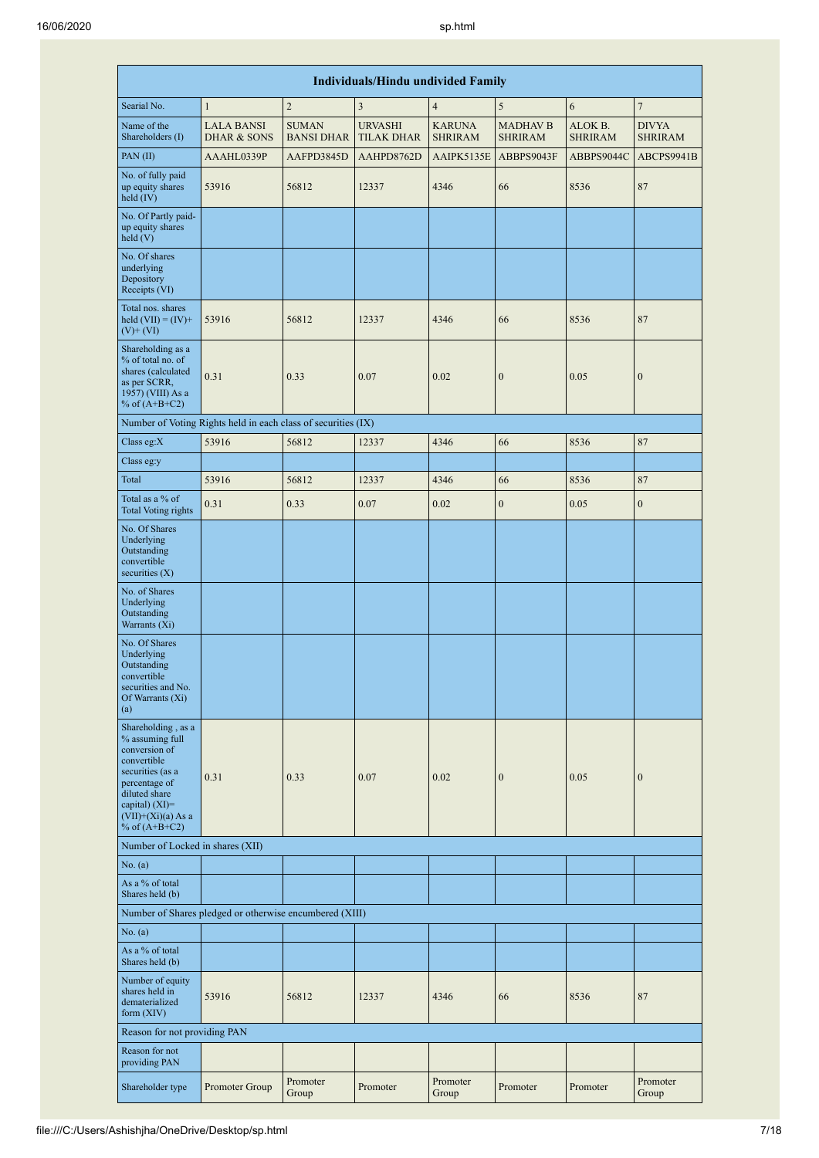|                                                                                                                                                                                          | <b>Individuals/Hindu undivided Family</b>                     |                                   |                                     |                                 |                                   |                           |                                |  |  |
|------------------------------------------------------------------------------------------------------------------------------------------------------------------------------------------|---------------------------------------------------------------|-----------------------------------|-------------------------------------|---------------------------------|-----------------------------------|---------------------------|--------------------------------|--|--|
| Searial No.                                                                                                                                                                              | $\mathbf{1}$                                                  | $\overline{c}$                    | 3                                   | $\overline{4}$                  | 5                                 | 6                         | $\overline{7}$                 |  |  |
| Name of the<br>Shareholders (I)                                                                                                                                                          | <b>LALA BANSI</b><br><b>DHAR &amp; SONS</b>                   | <b>SUMAN</b><br><b>BANSI DHAR</b> | <b>URVASHI</b><br><b>TILAK DHAR</b> | <b>KARUNA</b><br><b>SHRIRAM</b> | <b>MADHAV B</b><br><b>SHRIRAM</b> | ALOK B.<br><b>SHRIRAM</b> | <b>DIVYA</b><br><b>SHRIRAM</b> |  |  |
| PAN(II)                                                                                                                                                                                  | AAAHL0339P                                                    | AAFPD3845D                        | AAHPD8762D                          | AAIPK5135E                      | ABBPS9043F                        | ABBPS9044C                | ABCPS9941B                     |  |  |
| No. of fully paid<br>up equity shares<br>held (IV)                                                                                                                                       | 53916                                                         | 56812                             | 12337                               | 4346                            | 66                                | 8536                      | 87                             |  |  |
| No. Of Partly paid-<br>up equity shares<br>held(V)                                                                                                                                       |                                                               |                                   |                                     |                                 |                                   |                           |                                |  |  |
| No. Of shares<br>underlying<br>Depository<br>Receipts (VI)                                                                                                                               |                                                               |                                   |                                     |                                 |                                   |                           |                                |  |  |
| Total nos. shares<br>held $(VII) = (IV) +$<br>$(V)$ + $(VI)$                                                                                                                             | 53916                                                         | 56812                             | 12337                               | 4346                            | 66                                | 8536                      | 87                             |  |  |
| Shareholding as a<br>% of total no. of<br>shares (calculated<br>as per SCRR,<br>1957) (VIII) As a<br>% of $(A+B+C2)$                                                                     | 0.31                                                          | 0.33                              | 0.07                                | 0.02                            | $\boldsymbol{0}$                  | 0.05                      | $\mathbf{0}$                   |  |  |
|                                                                                                                                                                                          | Number of Voting Rights held in each class of securities (IX) |                                   |                                     |                                 |                                   |                           |                                |  |  |
| Class eg: $X$                                                                                                                                                                            | 53916                                                         | 56812                             | 12337                               | 4346                            | 66                                | 8536                      | 87                             |  |  |
| Class eg:y                                                                                                                                                                               |                                                               |                                   |                                     |                                 |                                   |                           |                                |  |  |
| Total                                                                                                                                                                                    | 53916                                                         | 56812                             | 12337                               | 4346                            | 66                                | 8536                      | 87                             |  |  |
| Total as a % of<br>Total Voting rights                                                                                                                                                   | 0.31                                                          | 0.33                              | 0.07                                | 0.02                            | $\overline{0}$                    | 0.05                      | $\boldsymbol{0}$               |  |  |
| No. Of Shares<br>Underlying<br>Outstanding<br>convertible<br>securities $(X)$                                                                                                            |                                                               |                                   |                                     |                                 |                                   |                           |                                |  |  |
| No. of Shares<br>Underlying<br>Outstanding<br>Warrants (Xi)                                                                                                                              |                                                               |                                   |                                     |                                 |                                   |                           |                                |  |  |
| No. Of Shares<br>Underlying<br>Outstanding<br>convertible<br>securities and No.<br>Of Warrants (Xi)<br>(a)                                                                               |                                                               |                                   |                                     |                                 |                                   |                           |                                |  |  |
| Shareholding, as a<br>% assuming full<br>conversion of<br>convertible<br>securities (as a<br>percentage of<br>diluted share<br>capital) (XI)=<br>$(VII)+(Xi)(a) As a$<br>% of $(A+B+C2)$ | 0.31                                                          | 0.33                              | 0.07                                | 0.02                            | $\boldsymbol{0}$                  | 0.05                      | $\boldsymbol{0}$               |  |  |
| Number of Locked in shares (XII)                                                                                                                                                         |                                                               |                                   |                                     |                                 |                                   |                           |                                |  |  |
| No. (a)                                                                                                                                                                                  |                                                               |                                   |                                     |                                 |                                   |                           |                                |  |  |
| As a % of total<br>Shares held (b)                                                                                                                                                       |                                                               |                                   |                                     |                                 |                                   |                           |                                |  |  |
|                                                                                                                                                                                          | Number of Shares pledged or otherwise encumbered (XIII)       |                                   |                                     |                                 |                                   |                           |                                |  |  |
| No. (a)                                                                                                                                                                                  |                                                               |                                   |                                     |                                 |                                   |                           |                                |  |  |
| As a % of total<br>Shares held (b)                                                                                                                                                       |                                                               |                                   |                                     |                                 |                                   |                           |                                |  |  |
| Number of equity<br>shares held in<br>dematerialized<br>form $(XIV)$                                                                                                                     | 53916                                                         | 56812                             | 12337                               | 4346                            | 66                                | 8536                      | 87                             |  |  |
| Reason for not providing PAN                                                                                                                                                             |                                                               |                                   |                                     |                                 |                                   |                           |                                |  |  |
| Reason for not<br>providing PAN                                                                                                                                                          |                                                               |                                   |                                     |                                 |                                   |                           |                                |  |  |
| Shareholder type                                                                                                                                                                         | Promoter Group                                                | Promoter<br>Group                 | Promoter                            | Promoter<br>Group               | Promoter                          | Promoter                  | Promoter<br>Group              |  |  |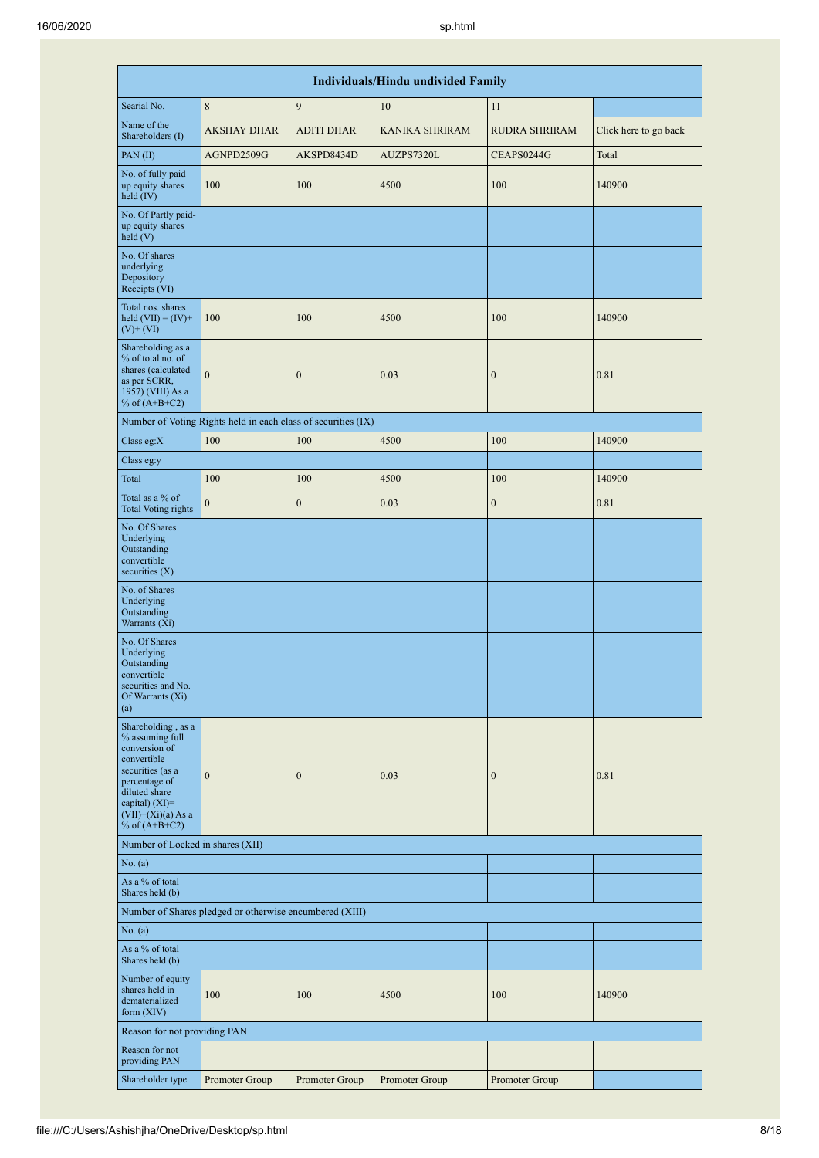|                                                                                                                                                                                             |                                                               |                   | <b>Individuals/Hindu undivided Family</b> |                      |                       |
|---------------------------------------------------------------------------------------------------------------------------------------------------------------------------------------------|---------------------------------------------------------------|-------------------|-------------------------------------------|----------------------|-----------------------|
| Searial No.                                                                                                                                                                                 | 8                                                             | 9                 | 10                                        | 11                   |                       |
| Name of the<br>Shareholders (I)                                                                                                                                                             | <b>AKSHAY DHAR</b>                                            | <b>ADITI DHAR</b> | <b>KANIKA SHRIRAM</b>                     | <b>RUDRA SHRIRAM</b> | Click here to go back |
| PAN $(II)$                                                                                                                                                                                  | AGNPD2509G                                                    | AKSPD8434D        | AUZPS7320L                                | CEAPS0244G           | Total                 |
| No. of fully paid<br>up equity shares<br>held $(IV)$                                                                                                                                        | 100                                                           | 100               | 4500                                      | 100                  | 140900                |
| No. Of Partly paid-<br>up equity shares<br>held $(V)$                                                                                                                                       |                                                               |                   |                                           |                      |                       |
| No. Of shares<br>underlying<br>Depository<br>Receipts (VI)                                                                                                                                  |                                                               |                   |                                           |                      |                       |
| Total nos. shares<br>held $(VII) = (IV) +$<br>$(V)$ + $(VI)$                                                                                                                                | 100                                                           | 100               | 4500                                      | 100                  | 140900                |
| Shareholding as a<br>% of total no. of<br>shares (calculated<br>as per SCRR,<br>1957) (VIII) As a<br>% of $(A+B+C2)$                                                                        | $\mathbf{0}$                                                  | $\mathbf{0}$      | 0.03                                      | $\mathbf{0}$         | 0.81                  |
|                                                                                                                                                                                             | Number of Voting Rights held in each class of securities (IX) |                   |                                           |                      |                       |
| Class eg:X                                                                                                                                                                                  | 100                                                           | 100               | 4500                                      | 100                  | 140900                |
| Class eg:y                                                                                                                                                                                  |                                                               |                   |                                           |                      |                       |
| Total                                                                                                                                                                                       | 100                                                           | 100               | 4500                                      | 100                  | 140900                |
| Total as a % of<br><b>Total Voting rights</b>                                                                                                                                               | $\mathbf{0}$                                                  | $\boldsymbol{0}$  | 0.03                                      | $\boldsymbol{0}$     | 0.81                  |
| No. Of Shares<br>Underlying<br>Outstanding<br>convertible<br>securities $(X)$                                                                                                               |                                                               |                   |                                           |                      |                       |
| No. of Shares<br>Underlying<br>Outstanding<br>Warrants (Xi)                                                                                                                                 |                                                               |                   |                                           |                      |                       |
| No. Of Shares<br>Underlying<br>Outstanding<br>convertible<br>securities and No.<br>Of Warrants (Xi)<br>(a)                                                                                  |                                                               |                   |                                           |                      |                       |
| Shareholding, as a<br>% assuming full<br>conversion of<br>convertible<br>securities (as a<br>percentage of<br>diluted share<br>capital) $(XI)$ =<br>$(VII)+(Xi)(a)$ As a<br>% of $(A+B+C2)$ | $\boldsymbol{0}$                                              | $\boldsymbol{0}$  | 0.03                                      | $\mathbf{0}$         | 0.81                  |
| Number of Locked in shares (XII)                                                                                                                                                            |                                                               |                   |                                           |                      |                       |
| No. (a)                                                                                                                                                                                     |                                                               |                   |                                           |                      |                       |
| As a % of total<br>Shares held (b)                                                                                                                                                          |                                                               |                   |                                           |                      |                       |
|                                                                                                                                                                                             | Number of Shares pledged or otherwise encumbered (XIII)       |                   |                                           |                      |                       |
| No. (a)                                                                                                                                                                                     |                                                               |                   |                                           |                      |                       |
| As a % of total<br>Shares held (b)                                                                                                                                                          |                                                               |                   |                                           |                      |                       |
| Number of equity<br>shares held in<br>dematerialized<br>form $(XIV)$                                                                                                                        | 100                                                           | 100               | 4500                                      | 100                  | 140900                |
| Reason for not providing PAN                                                                                                                                                                |                                                               |                   |                                           |                      |                       |
| Reason for not<br>providing PAN                                                                                                                                                             |                                                               |                   |                                           |                      |                       |
| Shareholder type                                                                                                                                                                            | Promoter Group                                                | Promoter Group    | Promoter Group                            | Promoter Group       |                       |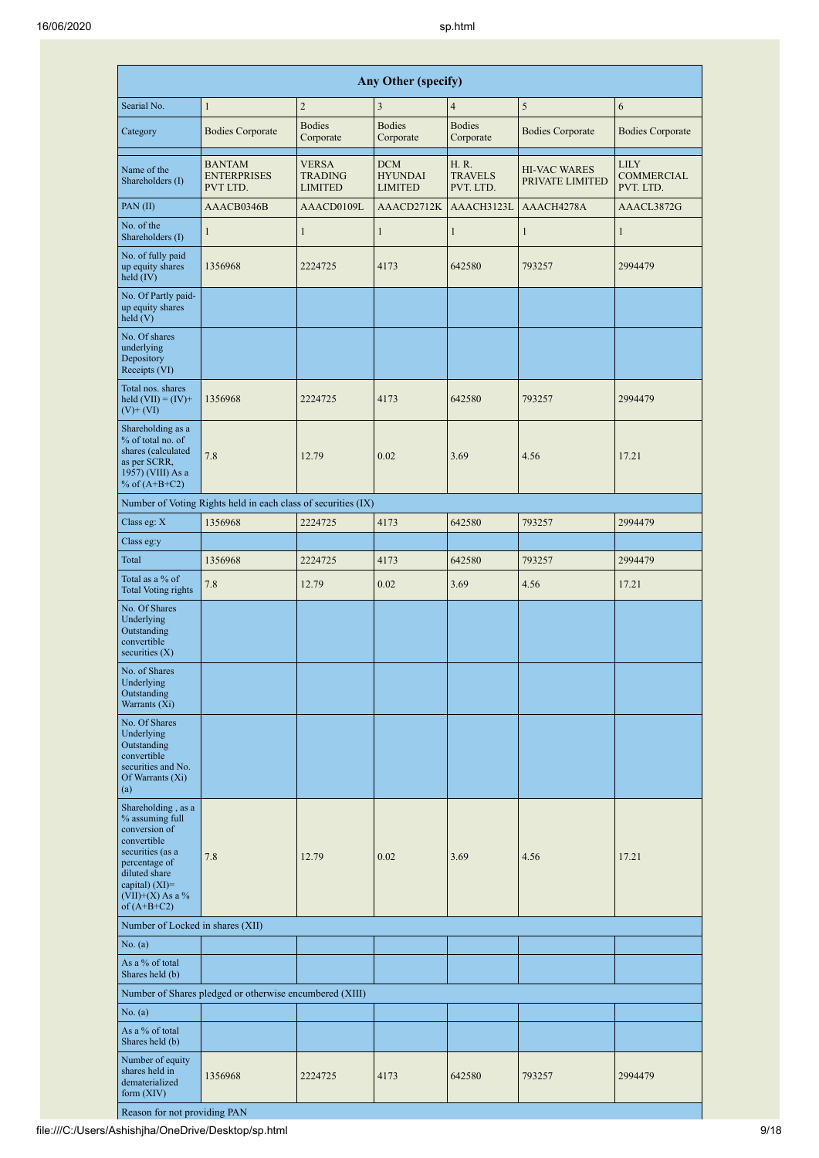|                                                                                                                                                                                        |                                                               |                                                  | Any Other (specify)                            |                                      |                                        |                                               |
|----------------------------------------------------------------------------------------------------------------------------------------------------------------------------------------|---------------------------------------------------------------|--------------------------------------------------|------------------------------------------------|--------------------------------------|----------------------------------------|-----------------------------------------------|
| Searial No.                                                                                                                                                                            | $\mathbf{1}$                                                  | $\overline{2}$                                   | 3                                              | $\overline{4}$                       | 5                                      | 6                                             |
| Category                                                                                                                                                                               | <b>Bodies Corporate</b>                                       | <b>Bodies</b><br>Corporate                       | <b>Bodies</b><br>Corporate                     | <b>Bodies</b><br>Corporate           | <b>Bodies Corporate</b>                | <b>Bodies Corporate</b>                       |
| Name of the<br>Shareholders (I)                                                                                                                                                        | <b>BANTAM</b><br><b>ENTERPRISES</b><br>PVT LTD.               | <b>VERSA</b><br><b>TRADING</b><br><b>LIMITED</b> | <b>DCM</b><br><b>HYUNDAI</b><br><b>LIMITED</b> | H. R.<br><b>TRAVELS</b><br>PVT. LTD. | <b>HI-VAC WARES</b><br>PRIVATE LIMITED | <b>LILY</b><br><b>COMMERCIAL</b><br>PVT. LTD. |
| PAN $(II)$                                                                                                                                                                             | AAACB0346B                                                    | AAACD0109L                                       | AAACD2712K                                     | AAACH3123L                           | AAACH4278A                             | AAACL3872G                                    |
| No. of the<br>Shareholders (I)                                                                                                                                                         | 1                                                             | 1                                                | 1                                              | 1                                    | $\mathbf{1}$                           | $\mathbf{1}$                                  |
| No. of fully paid<br>up equity shares<br>held $(IV)$                                                                                                                                   | 1356968                                                       | 2224725                                          | 4173                                           | 642580                               | 793257                                 | 2994479                                       |
| No. Of Partly paid-<br>up equity shares<br>$\text{held}$ (V)                                                                                                                           |                                                               |                                                  |                                                |                                      |                                        |                                               |
| No. Of shares<br>underlying<br>Depository<br>Receipts (VI)                                                                                                                             |                                                               |                                                  |                                                |                                      |                                        |                                               |
| Total nos. shares<br>held $(VII) = (IV) +$<br>$(V)$ + $(VI)$                                                                                                                           | 1356968                                                       | 2224725                                          | 4173                                           | 642580                               | 793257                                 | 2994479                                       |
| Shareholding as a<br>% of total no. of<br>shares (calculated<br>as per SCRR,<br>1957) (VIII) As a<br>% of $(A+B+C2)$                                                                   | 7.8                                                           | 12.79                                            | 0.02                                           | 3.69                                 | 4.56                                   | 17.21                                         |
|                                                                                                                                                                                        | Number of Voting Rights held in each class of securities (IX) |                                                  |                                                |                                      |                                        |                                               |
| Class eg: X                                                                                                                                                                            | 1356968                                                       | 2224725                                          | 4173                                           | 642580                               | 793257                                 | 2994479                                       |
| Class eg:y                                                                                                                                                                             |                                                               |                                                  |                                                |                                      |                                        |                                               |
| Total                                                                                                                                                                                  | 1356968                                                       | 2224725                                          | 4173                                           | 642580                               | 793257                                 | 2994479                                       |
| Total as a % of<br><b>Total Voting rights</b>                                                                                                                                          | 7.8                                                           | 12.79                                            | 0.02                                           | 3.69                                 | 4.56                                   | 17.21                                         |
| No. Of Shares<br>Underlying<br>Outstanding<br>convertible<br>securities $(X)$                                                                                                          |                                                               |                                                  |                                                |                                      |                                        |                                               |
| No. of Shares<br>Underlying<br>Outstanding<br>Warrants (Xi)                                                                                                                            |                                                               |                                                  |                                                |                                      |                                        |                                               |
| No. Of Shares<br>Underlying<br>Outstanding<br>convertible<br>securities and No.<br>Of Warrants (Xi)<br>(a)                                                                             |                                                               |                                                  |                                                |                                      |                                        |                                               |
| Shareholding, as a<br>% assuming full<br>conversion of<br>convertible<br>securities (as a<br>percentage of<br>diluted share<br>capital) $(XI)=$<br>$(VII)+(X)$ As a %<br>of $(A+B+C2)$ | 7.8                                                           | 12.79                                            | 0.02                                           | 3.69                                 | 4.56                                   | 17.21                                         |
| Number of Locked in shares (XII)                                                                                                                                                       |                                                               |                                                  |                                                |                                      |                                        |                                               |
| No. (a)                                                                                                                                                                                |                                                               |                                                  |                                                |                                      |                                        |                                               |
| As a % of total<br>Shares held (b)                                                                                                                                                     |                                                               |                                                  |                                                |                                      |                                        |                                               |
|                                                                                                                                                                                        | Number of Shares pledged or otherwise encumbered (XIII)       |                                                  |                                                |                                      |                                        |                                               |
| No. (a)                                                                                                                                                                                |                                                               |                                                  |                                                |                                      |                                        |                                               |
| As a % of total<br>Shares held (b)                                                                                                                                                     |                                                               |                                                  |                                                |                                      |                                        |                                               |
| Number of equity<br>shares held in<br>dematerialized<br>form (XIV)                                                                                                                     | 1356968                                                       | 2224725                                          | 4173                                           | 642580                               | 793257                                 | 2994479                                       |
|                                                                                                                                                                                        |                                                               |                                                  |                                                |                                      |                                        |                                               |

Reason for not providing PAN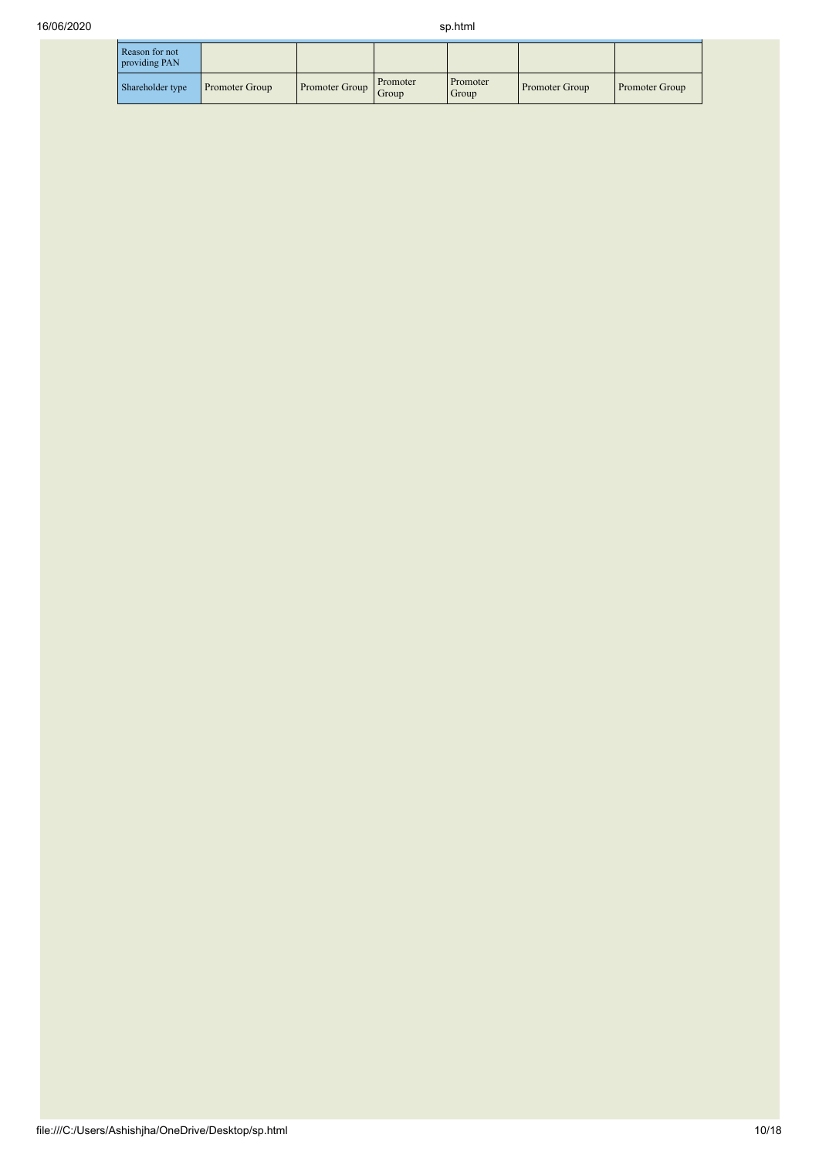| Reason for not<br>providing PAN |                |                       |                   |                   |                |                       |
|---------------------------------|----------------|-----------------------|-------------------|-------------------|----------------|-----------------------|
| Shareholder type                | Promoter Group | <b>Promoter Group</b> | Promoter<br>Group | Promoter<br>Group | Promoter Group | <b>Promoter Group</b> |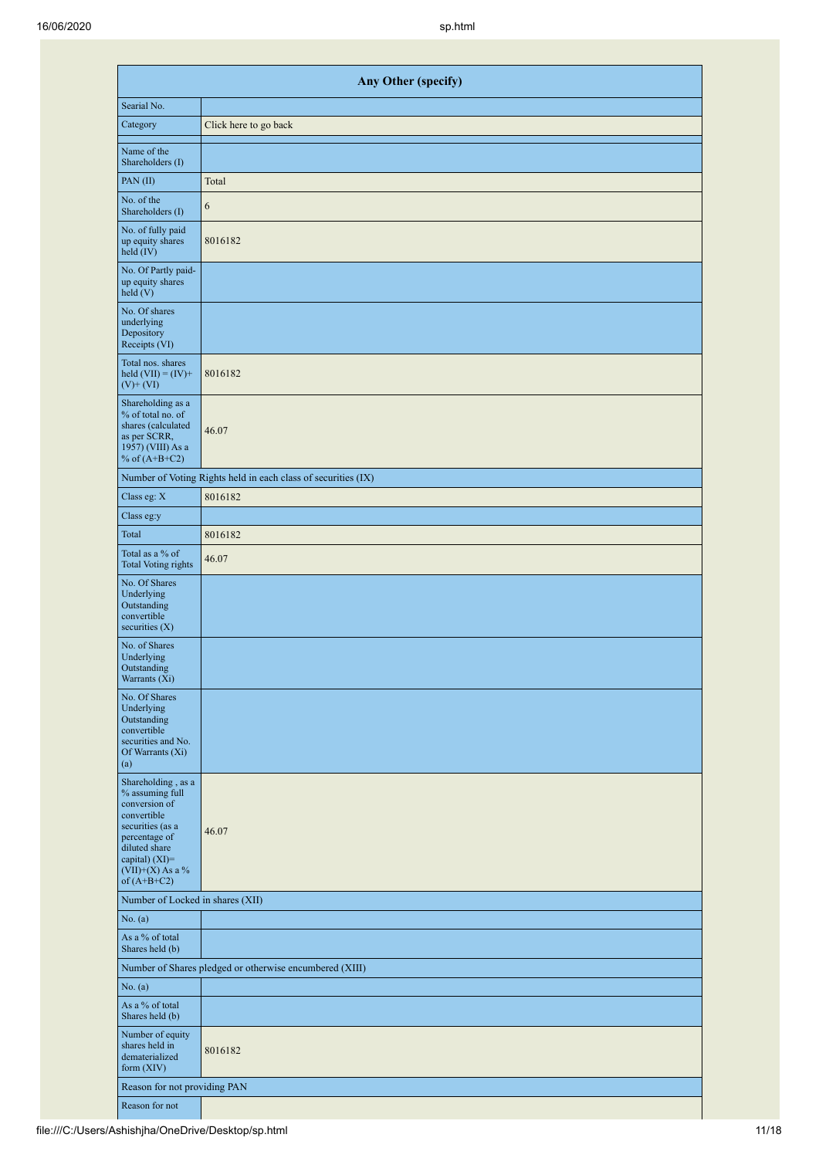|                                                                                                                                                                                      | Any Other (specify)                                           |
|--------------------------------------------------------------------------------------------------------------------------------------------------------------------------------------|---------------------------------------------------------------|
| Searial No.                                                                                                                                                                          |                                                               |
| Category                                                                                                                                                                             | Click here to go back                                         |
| Name of the<br>Shareholders (I)                                                                                                                                                      |                                                               |
| PAN $(II)$                                                                                                                                                                           | Total                                                         |
| No. of the<br>Shareholders (I)                                                                                                                                                       | 6                                                             |
| No. of fully paid<br>up equity shares<br>held $(IV)$                                                                                                                                 | 8016182                                                       |
| No. Of Partly paid-<br>up equity shares<br>held (V)                                                                                                                                  |                                                               |
| No. Of shares<br>underlying<br>Depository<br>Receipts (VI)                                                                                                                           |                                                               |
| Total nos. shares<br>held $(VII) = (IV) +$<br>$(V)$ + $(VI)$                                                                                                                         | 8016182                                                       |
| Shareholding as a<br>% of total no. of<br>shares (calculated<br>as per SCRR,<br>1957) (VIII) As a<br>% of $(A+B+C2)$                                                                 | 46.07                                                         |
|                                                                                                                                                                                      | Number of Voting Rights held in each class of securities (IX) |
| Class eg: X                                                                                                                                                                          | 8016182                                                       |
| Class eg:y                                                                                                                                                                           |                                                               |
| Total                                                                                                                                                                                | 8016182                                                       |
| Total as a % of<br>Total Voting rights                                                                                                                                               | 46.07                                                         |
| No. Of Shares<br>Underlying<br>Outstanding<br>convertible<br>securities $(X)$                                                                                                        |                                                               |
| No. of Shares<br>Underlying<br>Outstanding<br>Warrants (X1)                                                                                                                          |                                                               |
| No. Of Shares<br>Underlying<br>Outstanding<br>convertible<br>securities and No.<br>Of Warrants (Xi)<br>(a)                                                                           |                                                               |
| Shareholding, as a<br>% assuming full<br>conversion of<br>convertible<br>securities (as a<br>percentage of<br>diluted share<br>capital) (XI)=<br>$(VII)+(X)$ As a %<br>of $(A+B+C2)$ | 46.07                                                         |
| Number of Locked in shares (XII)                                                                                                                                                     |                                                               |
| No. (a)                                                                                                                                                                              |                                                               |
| As a % of total<br>Shares held (b)                                                                                                                                                   |                                                               |
|                                                                                                                                                                                      | Number of Shares pledged or otherwise encumbered (XIII)       |
| No. (a)                                                                                                                                                                              |                                                               |
| As a % of total<br>Shares held (b)                                                                                                                                                   |                                                               |
| Number of equity<br>shares held in<br>dematerialized<br>form (XIV)                                                                                                                   | 8016182                                                       |
| Reason for not providing PAN                                                                                                                                                         |                                                               |
| Reason for not                                                                                                                                                                       |                                                               |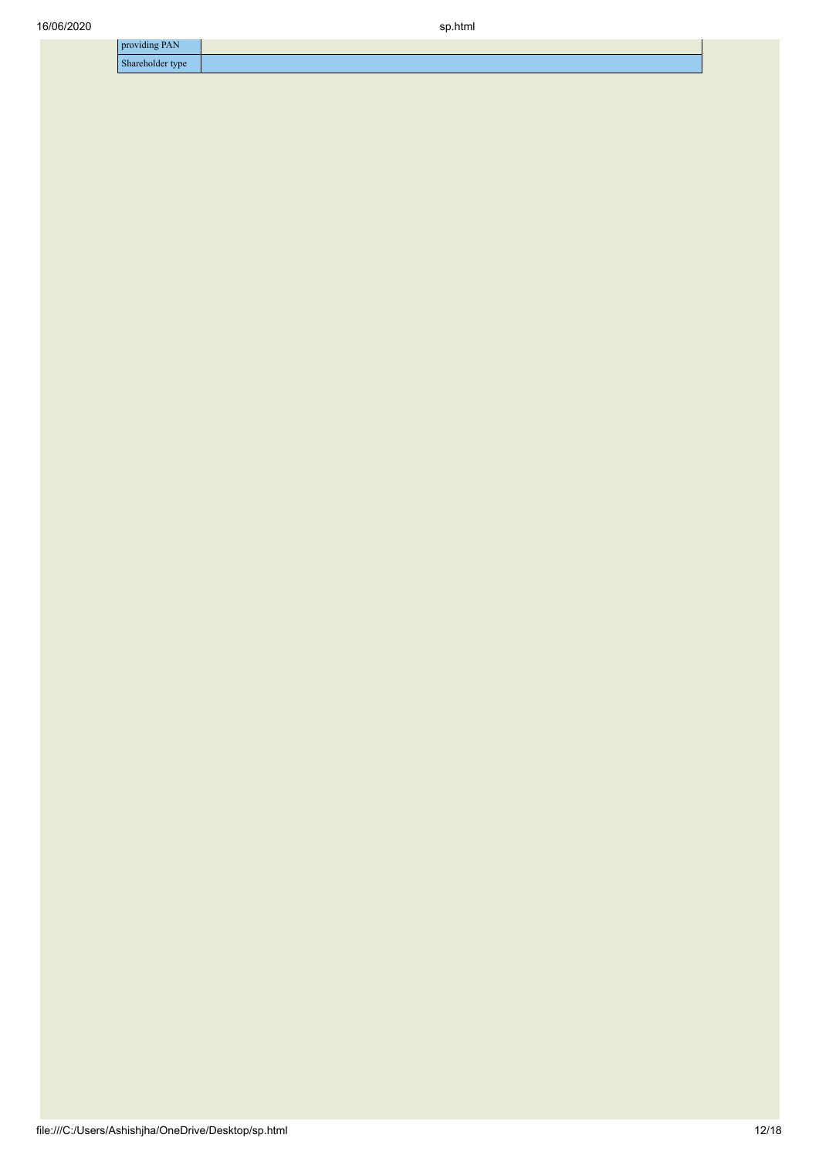| providing PAN                   |  |
|---------------------------------|--|
| $\blacksquare$ Shareholder type |  |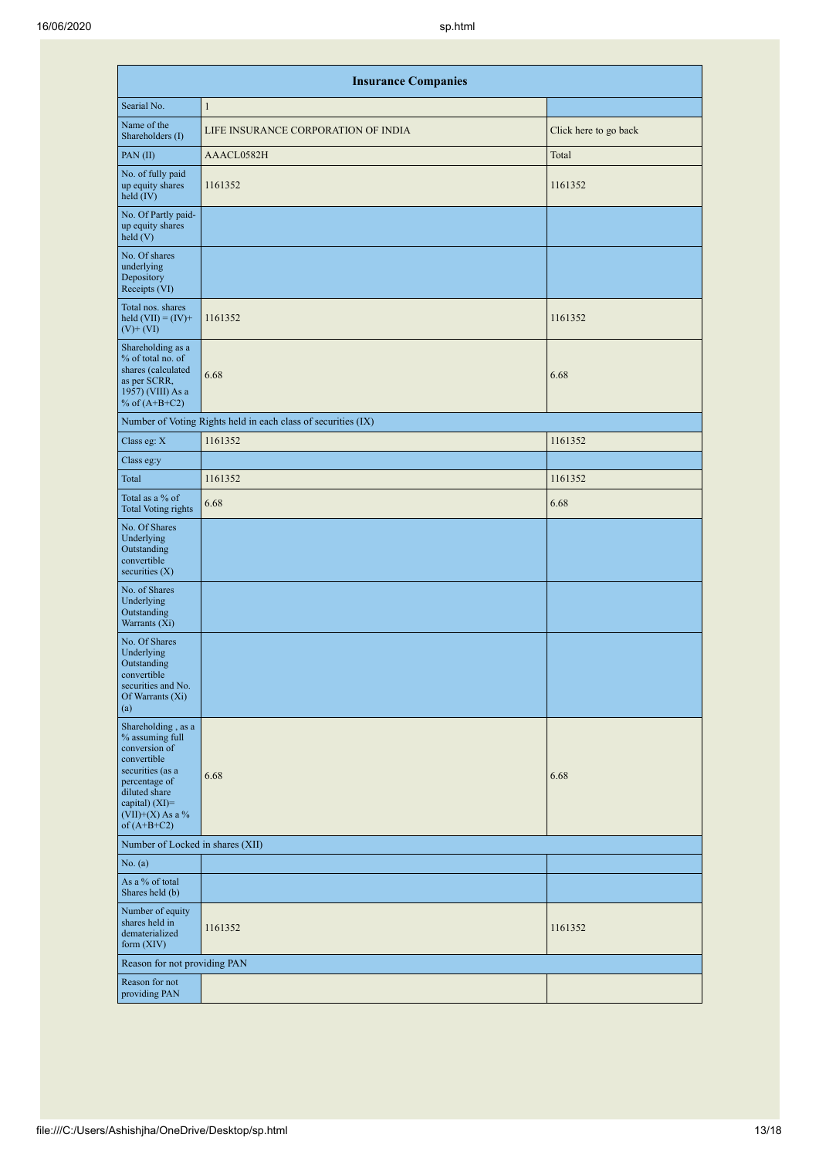| <b>Insurance Companies</b>                                                                                                                                                           |                                                               |                       |  |  |  |  |  |  |  |
|--------------------------------------------------------------------------------------------------------------------------------------------------------------------------------------|---------------------------------------------------------------|-----------------------|--|--|--|--|--|--|--|
| Searial No.                                                                                                                                                                          | $\mathbf{1}$                                                  |                       |  |  |  |  |  |  |  |
| Name of the<br>Shareholders (I)                                                                                                                                                      | LIFE INSURANCE CORPORATION OF INDIA                           | Click here to go back |  |  |  |  |  |  |  |
| PAN(II)                                                                                                                                                                              | AAACL0582H                                                    | Total                 |  |  |  |  |  |  |  |
| No. of fully paid<br>up equity shares<br>held $(IV)$                                                                                                                                 | 1161352                                                       | 1161352               |  |  |  |  |  |  |  |
| No. Of Partly paid-<br>up equity shares<br>$\text{held}$ (V)                                                                                                                         |                                                               |                       |  |  |  |  |  |  |  |
| No. Of shares<br>underlying<br>Depository<br>Receipts (VI)                                                                                                                           |                                                               |                       |  |  |  |  |  |  |  |
| Total nos. shares<br>held $(VII) = (IV) +$<br>$(V)$ + $(VI)$                                                                                                                         | 1161352                                                       | 1161352               |  |  |  |  |  |  |  |
| Shareholding as a<br>% of total no. of<br>shares (calculated<br>as per SCRR,<br>1957) (VIII) As a<br>% of $(A+B+C2)$                                                                 | 6.68                                                          | 6.68                  |  |  |  |  |  |  |  |
|                                                                                                                                                                                      | Number of Voting Rights held in each class of securities (IX) |                       |  |  |  |  |  |  |  |
| Class eg: X                                                                                                                                                                          | 1161352                                                       | 1161352               |  |  |  |  |  |  |  |
| Class eg:y                                                                                                                                                                           |                                                               |                       |  |  |  |  |  |  |  |
| Total                                                                                                                                                                                | 1161352                                                       | 1161352               |  |  |  |  |  |  |  |
| Total as a % of<br><b>Total Voting rights</b>                                                                                                                                        | 6.68                                                          | 6.68                  |  |  |  |  |  |  |  |
| No. Of Shares<br>Underlying<br>Outstanding<br>convertible<br>securities $(X)$                                                                                                        |                                                               |                       |  |  |  |  |  |  |  |
| No. of Shares<br>Underlying<br>Outstanding<br>Warrants (Xi)                                                                                                                          |                                                               |                       |  |  |  |  |  |  |  |
| No. Of Shares<br>Underlying<br>Outstanding<br>convertible<br>securities and No.<br>Of Warrants (Xi)<br>(a)                                                                           |                                                               |                       |  |  |  |  |  |  |  |
| Shareholding, as a<br>% assuming full<br>conversion of<br>convertible<br>securities (as a<br>percentage of<br>diluted share<br>capital) (XI)=<br>$(VII)+(X)$ As a %<br>of $(A+B+C2)$ | 6.68                                                          | 6.68                  |  |  |  |  |  |  |  |
| Number of Locked in shares (XII)                                                                                                                                                     |                                                               |                       |  |  |  |  |  |  |  |
| No. (a)                                                                                                                                                                              |                                                               |                       |  |  |  |  |  |  |  |
| As a % of total<br>Shares held (b)                                                                                                                                                   |                                                               |                       |  |  |  |  |  |  |  |
| Number of equity<br>shares held in<br>dematerialized<br>form $(XIV)$                                                                                                                 | 1161352                                                       | 1161352               |  |  |  |  |  |  |  |
| Reason for not providing PAN                                                                                                                                                         |                                                               |                       |  |  |  |  |  |  |  |
| Reason for not<br>providing PAN                                                                                                                                                      |                                                               |                       |  |  |  |  |  |  |  |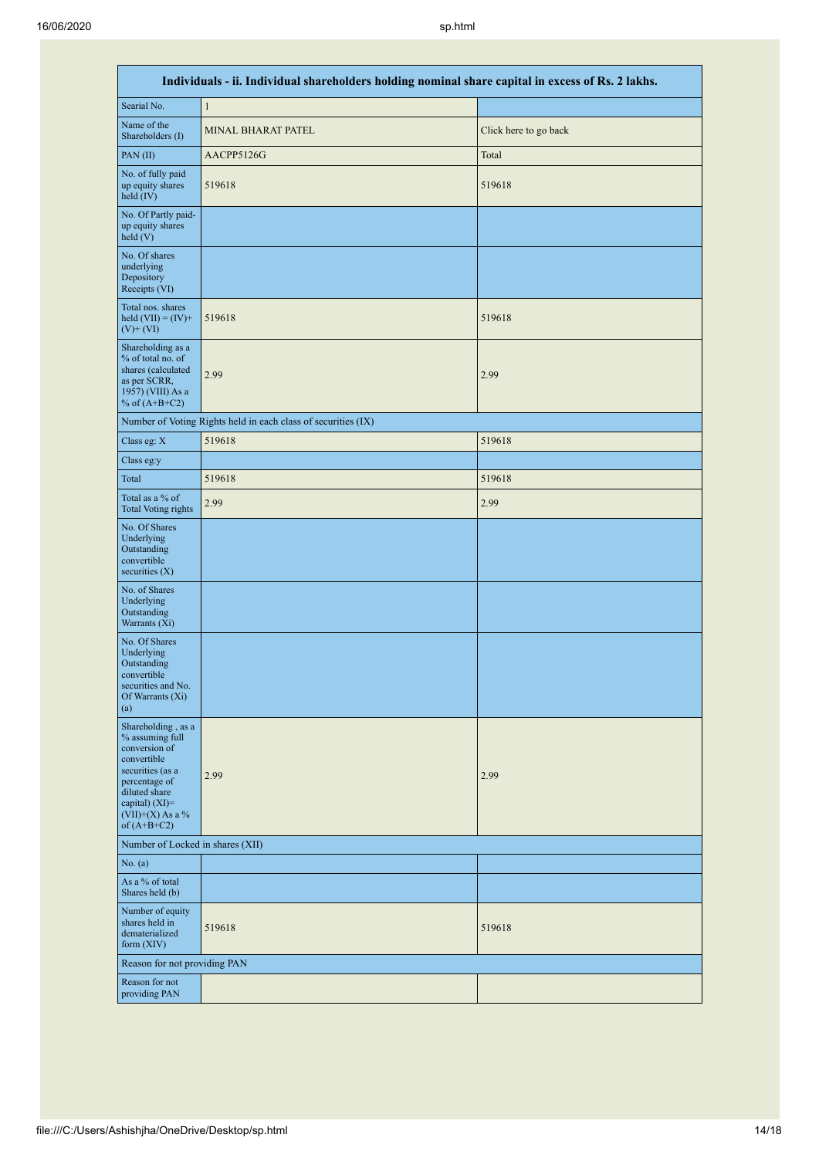| Individuals - ii. Individual shareholders holding nominal share capital in excess of Rs. 2 lakhs.                                                                                  |                                                               |                       |  |  |  |  |  |  |  |
|------------------------------------------------------------------------------------------------------------------------------------------------------------------------------------|---------------------------------------------------------------|-----------------------|--|--|--|--|--|--|--|
| Searial No.                                                                                                                                                                        | $\mathbf{1}$                                                  |                       |  |  |  |  |  |  |  |
| Name of the<br>Shareholders (I)                                                                                                                                                    | MINAL BHARAT PATEL                                            | Click here to go back |  |  |  |  |  |  |  |
| $PAN$ (II)                                                                                                                                                                         | AACPP5126G                                                    | Total                 |  |  |  |  |  |  |  |
| No. of fully paid<br>up equity shares<br>held $(IV)$                                                                                                                               | 519618                                                        | 519618                |  |  |  |  |  |  |  |
| No. Of Partly paid-<br>up equity shares<br>held(V)                                                                                                                                 |                                                               |                       |  |  |  |  |  |  |  |
| No. Of shares<br>underlying<br>Depository<br>Receipts (VI)                                                                                                                         |                                                               |                       |  |  |  |  |  |  |  |
| Total nos. shares<br>held $(VII) = (IV) +$<br>$(V)$ + $(VI)$                                                                                                                       | 519618                                                        | 519618                |  |  |  |  |  |  |  |
| Shareholding as a<br>% of total no. of<br>shares (calculated<br>as per SCRR,<br>1957) (VIII) As a<br>% of $(A+B+C2)$                                                               | 2.99                                                          | 2.99                  |  |  |  |  |  |  |  |
|                                                                                                                                                                                    | Number of Voting Rights held in each class of securities (IX) |                       |  |  |  |  |  |  |  |
| Class eg: X                                                                                                                                                                        | 519618                                                        | 519618                |  |  |  |  |  |  |  |
| Class eg:y                                                                                                                                                                         |                                                               |                       |  |  |  |  |  |  |  |
| Total                                                                                                                                                                              | 519618                                                        | 519618                |  |  |  |  |  |  |  |
| Total as a % of<br><b>Total Voting rights</b>                                                                                                                                      | 2.99                                                          | 2.99                  |  |  |  |  |  |  |  |
| No. Of Shares<br>Underlying<br>Outstanding<br>convertible<br>securities $(X)$                                                                                                      |                                                               |                       |  |  |  |  |  |  |  |
| No. of Shares<br>Underlying<br>Outstanding<br>Warrants (Xi)                                                                                                                        |                                                               |                       |  |  |  |  |  |  |  |
| No. Of Shares<br>Underlying<br>Outstanding<br>convertible<br>securities and No.<br>Of Warrants (Xi)<br>(a)                                                                         |                                                               |                       |  |  |  |  |  |  |  |
| Shareholding, as a<br>% assuming full<br>conversion of<br>convertible<br>securities (as a<br>percentage of<br>diluted share<br>capital) (XI)=<br>$(VII)+(X)$ As a %<br>of (A+B+C2) | 2.99                                                          | 2.99                  |  |  |  |  |  |  |  |
| Number of Locked in shares (XII)                                                                                                                                                   |                                                               |                       |  |  |  |  |  |  |  |
| No. (a)                                                                                                                                                                            |                                                               |                       |  |  |  |  |  |  |  |
| As a % of total<br>Shares held (b)                                                                                                                                                 |                                                               |                       |  |  |  |  |  |  |  |
| Number of equity<br>shares held in<br>dematerialized<br>form (XIV)                                                                                                                 | 519618                                                        | 519618                |  |  |  |  |  |  |  |
| Reason for not providing PAN                                                                                                                                                       |                                                               |                       |  |  |  |  |  |  |  |
| Reason for not<br>providing PAN                                                                                                                                                    |                                                               |                       |  |  |  |  |  |  |  |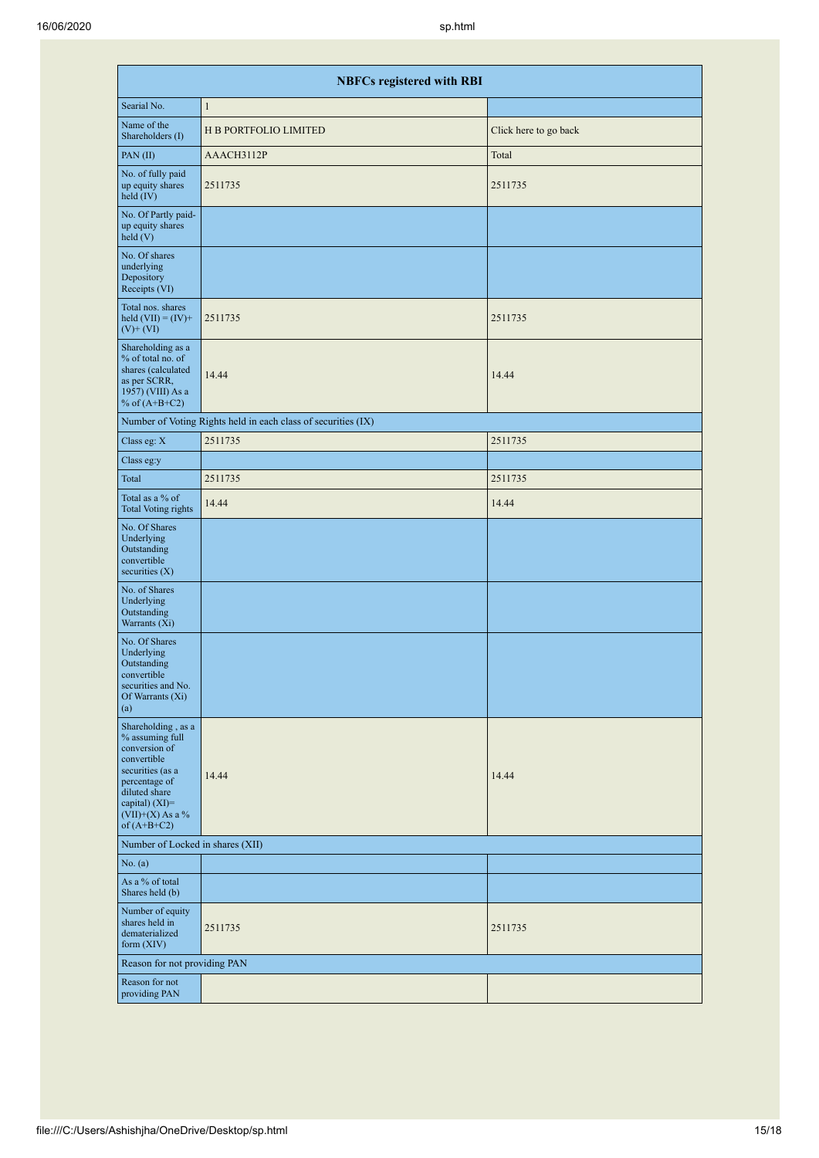| <b>NBFCs registered with RBI</b>                                                                                                                                                       |                                                               |                       |  |  |  |  |  |  |  |
|----------------------------------------------------------------------------------------------------------------------------------------------------------------------------------------|---------------------------------------------------------------|-----------------------|--|--|--|--|--|--|--|
| Searial No.                                                                                                                                                                            | $\mathbf{1}$                                                  |                       |  |  |  |  |  |  |  |
| Name of the<br>Shareholders (I)                                                                                                                                                        | <b>H B PORTFOLIO LIMITED</b>                                  | Click here to go back |  |  |  |  |  |  |  |
| PAN(II)                                                                                                                                                                                | AAACH3112P                                                    | Total                 |  |  |  |  |  |  |  |
| No. of fully paid<br>up equity shares<br>held $(IV)$                                                                                                                                   | 2511735                                                       | 2511735               |  |  |  |  |  |  |  |
| No. Of Partly paid-<br>up equity shares<br>$\text{held}$ (V)                                                                                                                           |                                                               |                       |  |  |  |  |  |  |  |
| No. Of shares<br>underlying<br>Depository<br>Receipts (VI)                                                                                                                             |                                                               |                       |  |  |  |  |  |  |  |
| Total nos. shares<br>held $(VII) = (IV) +$<br>$(V)$ + $(VI)$                                                                                                                           | 2511735                                                       | 2511735               |  |  |  |  |  |  |  |
| Shareholding as a<br>% of total no. of<br>shares (calculated<br>as per SCRR,<br>1957) (VIII) As a<br>% of $(A+B+C2)$                                                                   | 14.44                                                         | 14.44                 |  |  |  |  |  |  |  |
|                                                                                                                                                                                        | Number of Voting Rights held in each class of securities (IX) |                       |  |  |  |  |  |  |  |
| Class eg: X                                                                                                                                                                            | 2511735                                                       | 2511735               |  |  |  |  |  |  |  |
| Class eg:y                                                                                                                                                                             |                                                               |                       |  |  |  |  |  |  |  |
| Total                                                                                                                                                                                  | 2511735                                                       | 2511735               |  |  |  |  |  |  |  |
| Total as a % of<br>Total Voting rights                                                                                                                                                 | 14.44                                                         | 14.44                 |  |  |  |  |  |  |  |
| No. Of Shares<br>Underlying<br>Outstanding<br>convertible<br>securities $(X)$                                                                                                          |                                                               |                       |  |  |  |  |  |  |  |
| No. of Shares<br>Underlying<br>Outstanding<br>Warrants (Xi)                                                                                                                            |                                                               |                       |  |  |  |  |  |  |  |
| No. Of Shares<br>Underlying<br>Outstanding<br>convertible<br>securities and No.<br>Of Warrants (Xi)<br>(a)                                                                             |                                                               |                       |  |  |  |  |  |  |  |
| Shareholding, as a<br>% assuming full<br>conversion of<br>convertible<br>securities (as a<br>percentage of<br>diluted share<br>capital) $(XI)=$<br>$(VII)+(X)$ As a %<br>of $(A+B+C2)$ | 14.44                                                         | 14.44                 |  |  |  |  |  |  |  |
| Number of Locked in shares (XII)                                                                                                                                                       |                                                               |                       |  |  |  |  |  |  |  |
| No. (a)                                                                                                                                                                                |                                                               |                       |  |  |  |  |  |  |  |
| As a % of total<br>Shares held (b)                                                                                                                                                     |                                                               |                       |  |  |  |  |  |  |  |
| Number of equity<br>shares held in<br>dematerialized<br>form (XIV)                                                                                                                     | 2511735                                                       | 2511735               |  |  |  |  |  |  |  |
| Reason for not providing PAN                                                                                                                                                           |                                                               |                       |  |  |  |  |  |  |  |
| Reason for not<br>providing PAN                                                                                                                                                        |                                                               |                       |  |  |  |  |  |  |  |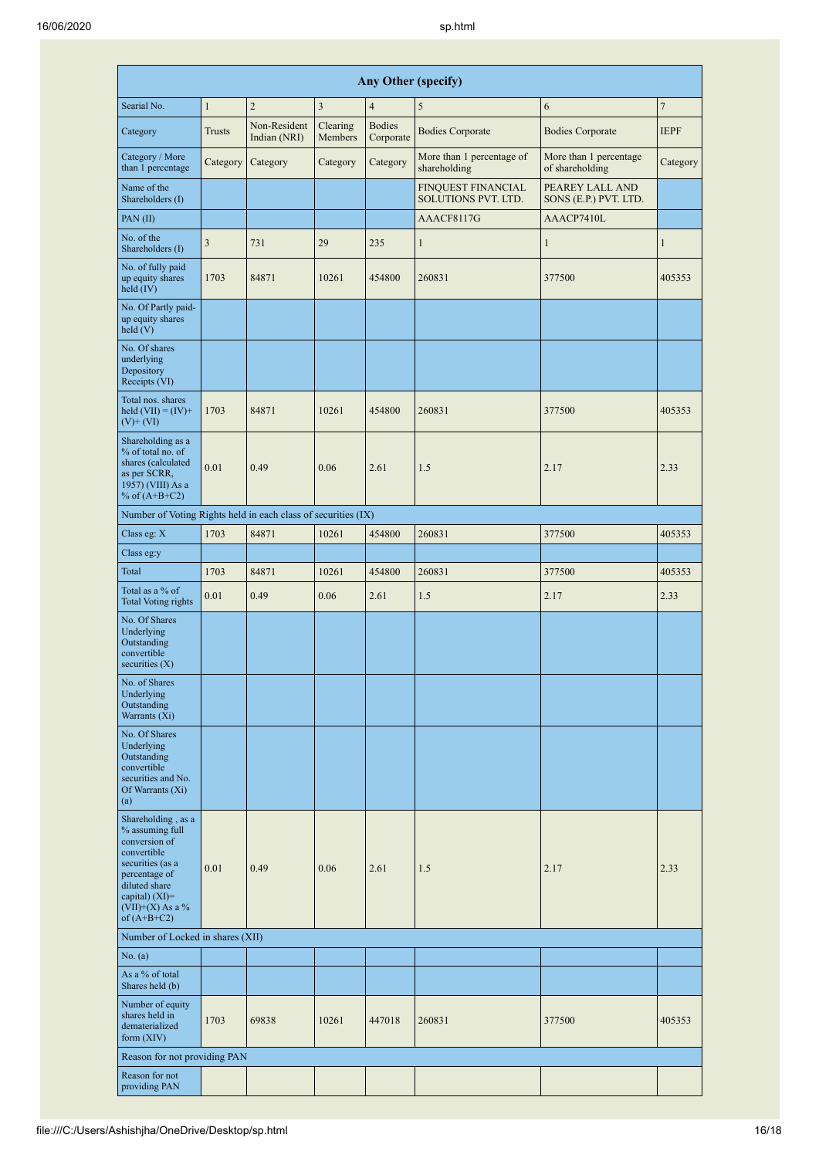| Any Other (specify)                                                                                                                                                                  |                                                       |                              |                     |                            |                                                  |                                           |                |  |  |
|--------------------------------------------------------------------------------------------------------------------------------------------------------------------------------------|-------------------------------------------------------|------------------------------|---------------------|----------------------------|--------------------------------------------------|-------------------------------------------|----------------|--|--|
| Searial No.                                                                                                                                                                          | $\overline{2}$<br>3<br>$\overline{4}$<br>$\mathbf{1}$ |                              |                     |                            | 5                                                | 6                                         | $\overline{7}$ |  |  |
| Category                                                                                                                                                                             | Trusts                                                | Non-Resident<br>Indian (NRI) | Clearing<br>Members | <b>Bodies</b><br>Corporate | <b>Bodies Corporate</b>                          | <b>Bodies Corporate</b>                   | <b>IEPF</b>    |  |  |
| Category / More<br>than 1 percentage                                                                                                                                                 | Category                                              | Category                     | Category            | Category                   | More than 1 percentage of<br>shareholding        | More than 1 percentage<br>of shareholding | Category       |  |  |
| Name of the<br>Shareholders (I)                                                                                                                                                      |                                                       |                              |                     |                            | <b>FINQUEST FINANCIAL</b><br>SOLUTIONS PVT. LTD. | PEAREY LALL AND<br>SONS (E.P.) PVT. LTD.  |                |  |  |
| PAN(II)                                                                                                                                                                              |                                                       |                              |                     |                            | AAACF8117G                                       | AAACP7410L                                |                |  |  |
| No. of the<br>Shareholders (I)                                                                                                                                                       | 3                                                     | 731                          | 29                  | 235                        | $\mathbf{1}$                                     | 1                                         | 1              |  |  |
| No. of fully paid<br>up equity shares<br>held $(IV)$                                                                                                                                 | 1703                                                  | 84871                        | 10261               | 454800                     | 260831                                           | 377500                                    | 405353         |  |  |
| No. Of Partly paid-<br>up equity shares<br>held(V)                                                                                                                                   |                                                       |                              |                     |                            |                                                  |                                           |                |  |  |
| No. Of shares<br>underlying<br>Depository<br>Receipts (VI)                                                                                                                           |                                                       |                              |                     |                            |                                                  |                                           |                |  |  |
| Total nos. shares<br>held $(VII) = (IV) +$<br>$(V)$ + $(VI)$                                                                                                                         | 1703                                                  | 84871                        | 10261               | 454800                     | 260831                                           | 377500                                    | 405353         |  |  |
| Shareholding as a<br>% of total no. of<br>shares (calculated<br>as per SCRR,<br>1957) (VIII) As a<br>% of $(A+B+C2)$                                                                 | 0.01                                                  | 0.49                         | 0.06                | 2.61                       | 1.5                                              | 2.17                                      | 2.33           |  |  |
| Number of Voting Rights held in each class of securities (IX)                                                                                                                        |                                                       |                              |                     |                            |                                                  |                                           |                |  |  |
| Class eg: X                                                                                                                                                                          | 1703                                                  | 84871                        | 10261               | 454800                     | 260831                                           | 377500                                    | 405353         |  |  |
| Class eg:y                                                                                                                                                                           |                                                       |                              |                     |                            |                                                  |                                           |                |  |  |
| Total                                                                                                                                                                                | 1703                                                  | 84871                        | 10261               | 454800                     | 260831                                           | 377500                                    | 405353         |  |  |
| Total as a % of<br><b>Total Voting rights</b>                                                                                                                                        | 0.01                                                  | 0.49                         | 0.06                | 2.61                       | 1.5                                              | 2.17                                      | 2.33           |  |  |
| No. Of Shares<br>Underlying<br>Outstanding<br>convertible<br>securities $(X)$                                                                                                        |                                                       |                              |                     |                            |                                                  |                                           |                |  |  |
| No. of Shares<br>Underlying<br>Outstanding<br>Warrants (Xi)                                                                                                                          |                                                       |                              |                     |                            |                                                  |                                           |                |  |  |
| No. Of Shares<br>Underlying<br>Outstanding<br>convertible<br>securities and No.<br>Of Warrants (Xi)<br>(a)                                                                           |                                                       |                              |                     |                            |                                                  |                                           |                |  |  |
| Shareholding, as a<br>% assuming full<br>conversion of<br>convertible<br>securities (as a<br>percentage of<br>diluted share<br>capital) (XI)=<br>$(VII)+(X)$ As a %<br>of $(A+B+C2)$ | 0.01                                                  | 0.49                         | 0.06                | 2.61                       | 1.5                                              | 2.17                                      | 2.33           |  |  |
| Number of Locked in shares (XII)                                                                                                                                                     |                                                       |                              |                     |                            |                                                  |                                           |                |  |  |
| No. (a)                                                                                                                                                                              |                                                       |                              |                     |                            |                                                  |                                           |                |  |  |
| As a % of total<br>Shares held (b)                                                                                                                                                   |                                                       |                              |                     |                            |                                                  |                                           |                |  |  |
| Number of equity<br>shares held in<br>dematerialized<br>form (XIV)                                                                                                                   | 1703                                                  | 69838                        | 10261               | 447018                     | 260831                                           | 377500                                    | 405353         |  |  |
| Reason for not providing PAN                                                                                                                                                         |                                                       |                              |                     |                            |                                                  |                                           |                |  |  |
| Reason for not<br>providing PAN                                                                                                                                                      |                                                       |                              |                     |                            |                                                  |                                           |                |  |  |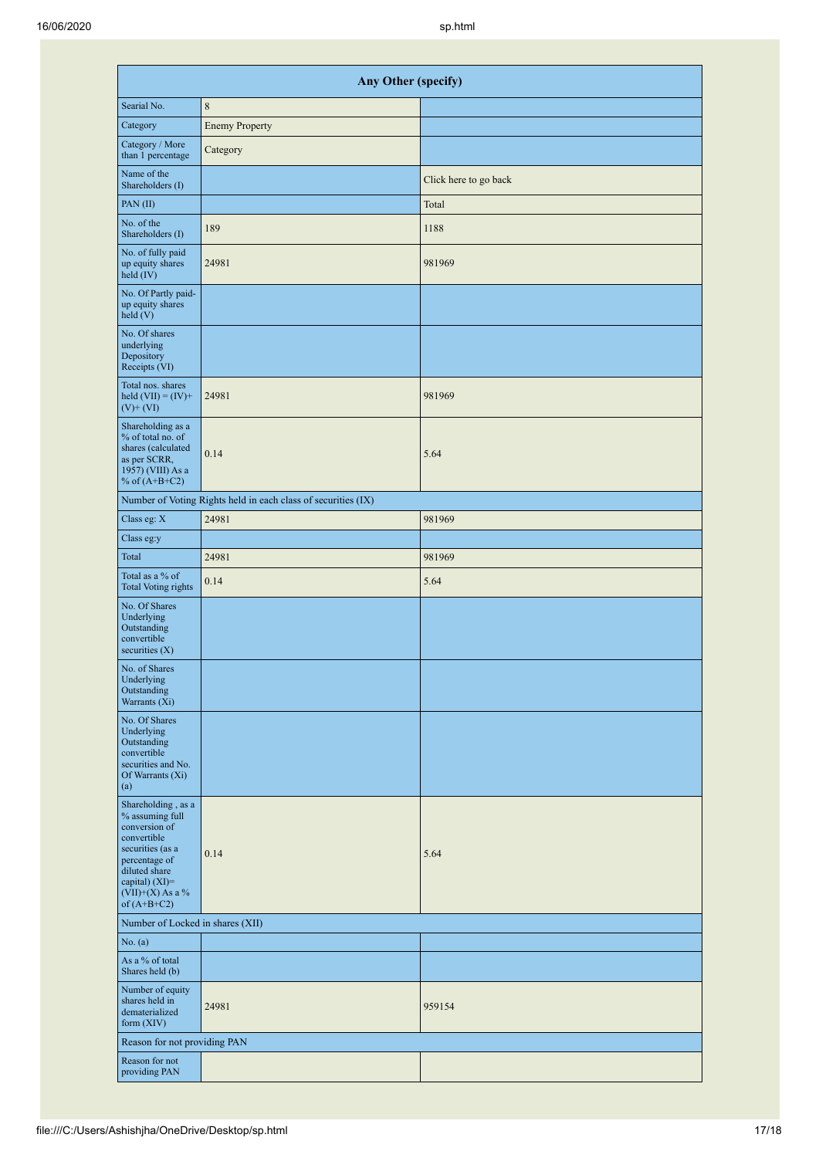| Any Other (specify)                                                                                                                                                                  |                                                               |                       |  |  |  |  |  |  |
|--------------------------------------------------------------------------------------------------------------------------------------------------------------------------------------|---------------------------------------------------------------|-----------------------|--|--|--|--|--|--|
| Searial No.                                                                                                                                                                          | 8                                                             |                       |  |  |  |  |  |  |
| Category                                                                                                                                                                             | <b>Enemy Property</b>                                         |                       |  |  |  |  |  |  |
| Category / More<br>than 1 percentage                                                                                                                                                 | Category                                                      |                       |  |  |  |  |  |  |
| Name of the<br>Shareholders (I)                                                                                                                                                      |                                                               | Click here to go back |  |  |  |  |  |  |
| PAN $(II)$                                                                                                                                                                           |                                                               | Total                 |  |  |  |  |  |  |
| No. of the<br>Shareholders (I)                                                                                                                                                       | 189                                                           | 1188                  |  |  |  |  |  |  |
| No. of fully paid<br>up equity shares<br>held (IV)                                                                                                                                   | 24981                                                         | 981969                |  |  |  |  |  |  |
| No. Of Partly paid-<br>up equity shares<br>held (V)                                                                                                                                  |                                                               |                       |  |  |  |  |  |  |
| No. Of shares<br>underlying<br>Depository<br>Receipts (VI)                                                                                                                           |                                                               |                       |  |  |  |  |  |  |
| Total nos. shares<br>held $(VII) = (IV) +$<br>$(V)$ + $(VI)$                                                                                                                         | 24981                                                         | 981969                |  |  |  |  |  |  |
| Shareholding as a<br>% of total no. of<br>shares (calculated<br>as per SCRR,<br>1957) (VIII) As a<br>% of $(A+B+C2)$                                                                 | 0.14                                                          | 5.64                  |  |  |  |  |  |  |
|                                                                                                                                                                                      | Number of Voting Rights held in each class of securities (IX) |                       |  |  |  |  |  |  |
| Class eg: X                                                                                                                                                                          | 24981                                                         | 981969                |  |  |  |  |  |  |
| Class eg:y                                                                                                                                                                           |                                                               |                       |  |  |  |  |  |  |
| Total                                                                                                                                                                                | 24981                                                         | 981969                |  |  |  |  |  |  |
| Total as a % of<br><b>Total Voting rights</b>                                                                                                                                        | 0.14                                                          | 5.64                  |  |  |  |  |  |  |
| No. Of Shares<br>Underlying<br>Outstanding<br>convertible<br>securities $(X)$                                                                                                        |                                                               |                       |  |  |  |  |  |  |
| No. of Shares<br>Underlying<br>$Outstanding$<br>Outstanding<br>Warrants (Xi)                                                                                                         |                                                               |                       |  |  |  |  |  |  |
| No. Of Shares<br>Underlying<br>Outstanding<br>convertible<br>securities and No.<br>Of Warrants (Xi)<br>(a)                                                                           |                                                               |                       |  |  |  |  |  |  |
| Shareholding, as a<br>% assuming full<br>conversion of<br>convertible<br>securities (as a<br>percentage of<br>diluted share<br>capital) (XI)=<br>$(VII)+(X)$ As a %<br>of $(A+B+C2)$ | 0.14                                                          | 5.64                  |  |  |  |  |  |  |
| Number of Locked in shares (XII)                                                                                                                                                     |                                                               |                       |  |  |  |  |  |  |
| No. (a)                                                                                                                                                                              |                                                               |                       |  |  |  |  |  |  |
| As a % of total<br>Shares held (b)                                                                                                                                                   |                                                               |                       |  |  |  |  |  |  |
| Number of equity<br>shares held in<br>dematerialized<br>form $(XIV)$                                                                                                                 | 24981                                                         | 959154                |  |  |  |  |  |  |
| Reason for not providing PAN                                                                                                                                                         |                                                               |                       |  |  |  |  |  |  |
| Reason for not<br>providing PAN                                                                                                                                                      |                                                               |                       |  |  |  |  |  |  |